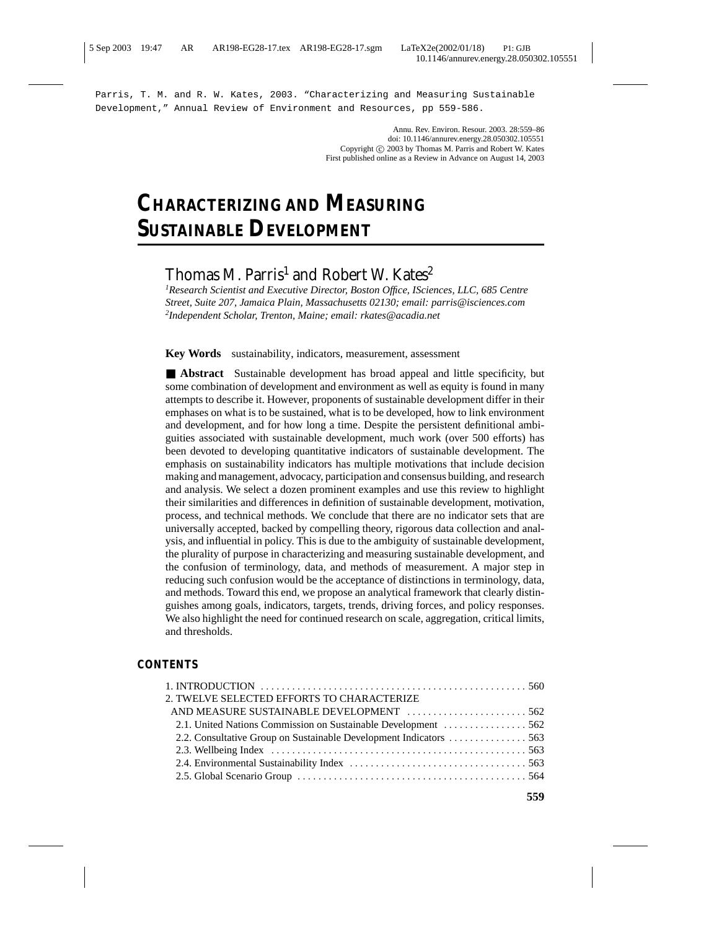Parris, T. M. and R. W. Kates, 2003. "Characterizing and Measuring Sustainable Development," Annual Review of Environment and Resources, pp 559-586.

> Annu. Rev. Environ. Resour. 2003. 28:559–86 doi: 10.1146/annurev.energy.28.050302.105551 Copyright  $\circ$  2003 by Thomas M. Parris and Robert W. Kates First published online as a Review in Advance on August 14, 2003

# **CHARACTERIZING AND MEASURING SUSTAINABLE DEVELOPMENT**

# Thomas M. Parris<sup>1</sup> and Robert W. Kates<sup>2</sup>

*1 Research Scientist and Executive Director, Boston Office, ISciences, LLC, 685 Centre Street, Suite 207, Jamaica Plain, Massachusetts 02130; email: parris@isciences.com 2 Independent Scholar, Trenton, Maine; email: rkates@acadia.net*

**Key Words** sustainability, indicators, measurement, assessment

■ **Abstract** Sustainable development has broad appeal and little specificity, but some combination of development and environment as well as equity is found in many attempts to describe it. However, proponents of sustainable development differ in their emphases on what is to be sustained, what is to be developed, how to link environment and development, and for how long a time. Despite the persistent definitional ambiguities associated with sustainable development, much work (over 500 efforts) has been devoted to developing quantitative indicators of sustainable development. The emphasis on sustainability indicators has multiple motivations that include decision making and management, advocacy, participation and consensus building, and research and analysis. We select a dozen prominent examples and use this review to highlight their similarities and differences in definition of sustainable development, motivation, process, and technical methods. We conclude that there are no indicator sets that are universally accepted, backed by compelling theory, rigorous data collection and analysis, and influential in policy. This is due to the ambiguity of sustainable development, the plurality of purpose in characterizing and measuring sustainable development, and the confusion of terminology, data, and methods of measurement. A major step in reducing such confusion would be the acceptance of distinctions in terminology, data, and methods. Toward this end, we propose an analytical framework that clearly distinguishes among goals, indicators, targets, trends, driving forces, and policy responses. We also highlight the need for continued research on scale, aggregation, critical limits, and thresholds.

#### **CONTENTS**

| 2. TWELVE SELECTED EFFORTS TO CHARACTERIZE |  |
|--------------------------------------------|--|
|                                            |  |
|                                            |  |
|                                            |  |
|                                            |  |
|                                            |  |
|                                            |  |
|                                            |  |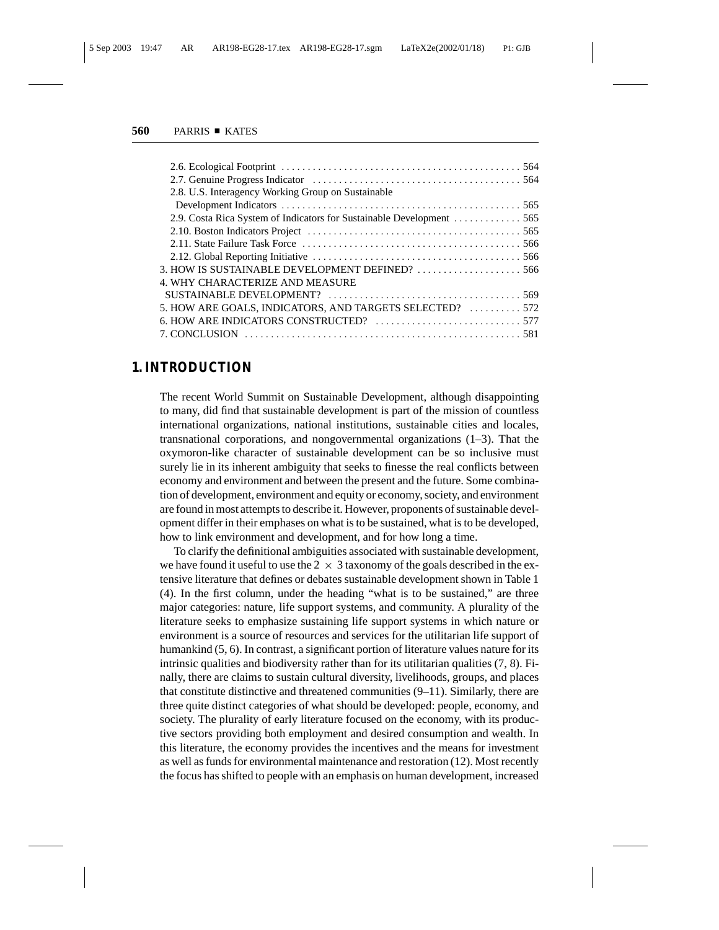| 2.8. U.S. Interagency Working Group on Sustainable       |  |
|----------------------------------------------------------|--|
|                                                          |  |
|                                                          |  |
|                                                          |  |
|                                                          |  |
|                                                          |  |
| 3. HOW IS SUSTAINABLE DEVELOPMENT DEFINED? 566           |  |
| 4. WHY CHARACTERIZE AND MEASURE                          |  |
|                                                          |  |
| 5. HOW ARE GOALS, INDICATORS, AND TARGETS SELECTED?  572 |  |
|                                                          |  |
|                                                          |  |
|                                                          |  |

## **1. INTRODUCTION**

The recent World Summit on Sustainable Development, although disappointing to many, did find that sustainable development is part of the mission of countless international organizations, national institutions, sustainable cities and locales, transnational corporations, and nongovernmental organizations (1–3). That the oxymoron-like character of sustainable development can be so inclusive must surely lie in its inherent ambiguity that seeks to finesse the real conflicts between economy and environment and between the present and the future. Some combination of development, environment and equity or economy, society, and environment are found in most attempts to describe it. However, proponents of sustainable development differ in their emphases on what is to be sustained, what is to be developed, how to link environment and development, and for how long a time.

To clarify the definitional ambiguities associated with sustainable development, we have found it useful to use the  $2 \times 3$  taxonomy of the goals described in the extensive literature that defines or debates sustainable development shown in Table 1 (4). In the first column, under the heading "what is to be sustained," are three major categories: nature, life support systems, and community. A plurality of the literature seeks to emphasize sustaining life support systems in which nature or environment is a source of resources and services for the utilitarian life support of humankind  $(5, 6)$ . In contrast, a significant portion of literature values nature for its intrinsic qualities and biodiversity rather than for its utilitarian qualities (7, 8). Finally, there are claims to sustain cultural diversity, livelihoods, groups, and places that constitute distinctive and threatened communities (9–11). Similarly, there are three quite distinct categories of what should be developed: people, economy, and society. The plurality of early literature focused on the economy, with its productive sectors providing both employment and desired consumption and wealth. In this literature, the economy provides the incentives and the means for investment as well as funds for environmental maintenance and restoration (12). Most recently the focus has shifted to people with an emphasis on human development, increased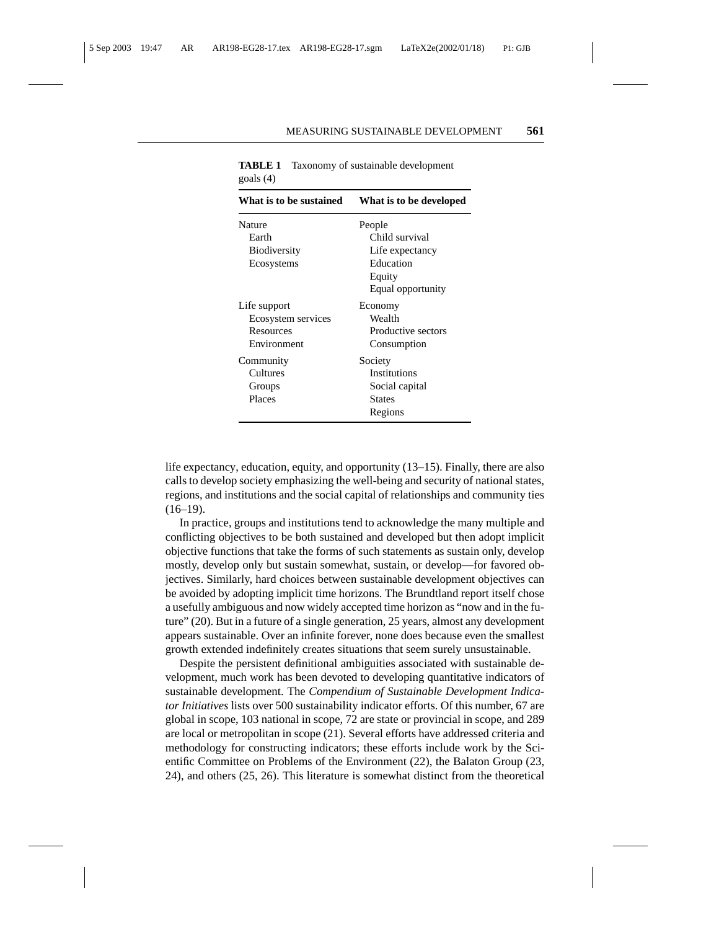| What is to be sustained                                        | What is to be developed                                                                 |
|----------------------------------------------------------------|-----------------------------------------------------------------------------------------|
| Nature<br>Earth<br><b>Biodiversity</b><br>Ecosystems           | People<br>Child survival<br>Life expectancy<br>Education<br>Equity<br>Equal opportunity |
| Life support<br>Ecosystem services<br>Resources<br>Environment | Economy<br>Wealth<br>Productive sectors<br>Consumption                                  |
| Community<br>Cultures<br>Groups<br>Places                      | Society<br><b>Institutions</b><br>Social capital<br><b>States</b><br>Regions            |

**TABLE 1** Taxonomy of sustainable development goals (4)

life expectancy, education, equity, and opportunity (13–15). Finally, there are also calls to develop society emphasizing the well-being and security of national states, regions, and institutions and the social capital of relationships and community ties  $(16–19)$ .

In practice, groups and institutions tend to acknowledge the many multiple and conflicting objectives to be both sustained and developed but then adopt implicit objective functions that take the forms of such statements as sustain only, develop mostly, develop only but sustain somewhat, sustain, or develop—for favored objectives. Similarly, hard choices between sustainable development objectives can be avoided by adopting implicit time horizons. The Brundtland report itself chose a usefully ambiguous and now widely accepted time horizon as "now and in the future" (20). But in a future of a single generation, 25 years, almost any development appears sustainable. Over an infinite forever, none does because even the smallest growth extended indefinitely creates situations that seem surely unsustainable.

Despite the persistent definitional ambiguities associated with sustainable development, much work has been devoted to developing quantitative indicators of sustainable development. The *Compendium of Sustainable Development Indicator Initiatives* lists over 500 sustainability indicator efforts. Of this number, 67 are global in scope, 103 national in scope, 72 are state or provincial in scope, and 289 are local or metropolitan in scope (21). Several efforts have addressed criteria and methodology for constructing indicators; these efforts include work by the Scientific Committee on Problems of the Environment (22), the Balaton Group (23, 24), and others (25, 26). This literature is somewhat distinct from the theoretical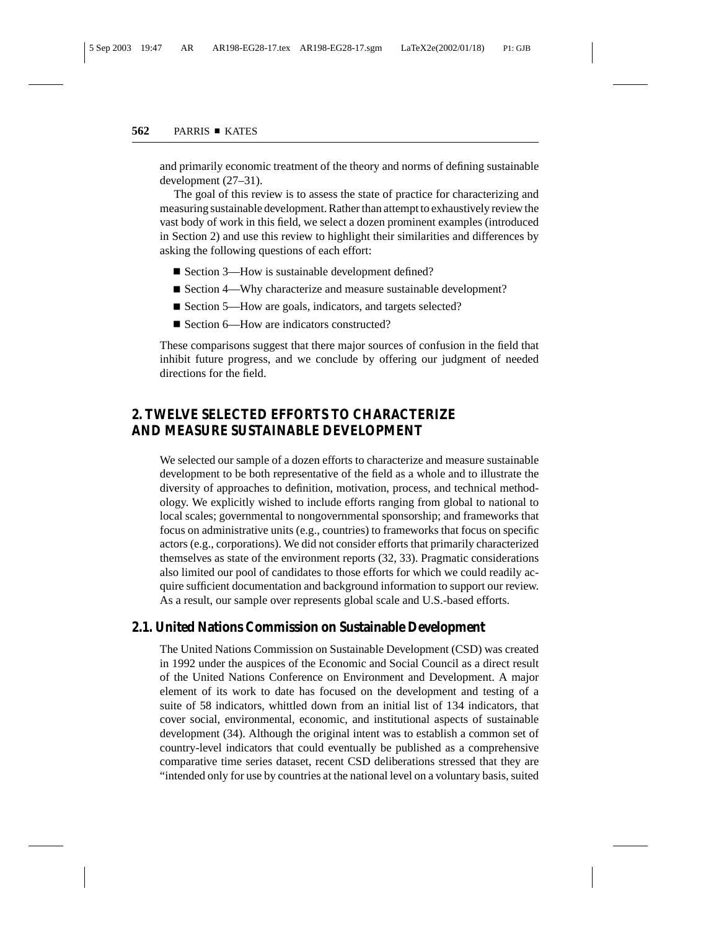and primarily economic treatment of the theory and norms of defining sustainable development (27–31).

The goal of this review is to assess the state of practice for characterizing and measuring sustainable development. Rather than attempt to exhaustively review the vast body of work in this field, we select a dozen prominent examples (introduced in Section 2) and use this review to highlight their similarities and differences by asking the following questions of each effort:

- Section 3—How is sustainable development defined?
- Section 4—Why characterize and measure sustainable development?
- Section 5—How are goals, indicators, and targets selected?
- Section 6—How are indicators constructed?

These comparisons suggest that there major sources of confusion in the field that inhibit future progress, and we conclude by offering our judgment of needed directions for the field.

# **2. TWELVE SELECTED EFFORTS TO CHARACTERIZE AND MEASURE SUSTAINABLE DEVELOPMENT**

We selected our sample of a dozen efforts to characterize and measure sustainable development to be both representative of the field as a whole and to illustrate the diversity of approaches to definition, motivation, process, and technical methodology. We explicitly wished to include efforts ranging from global to national to local scales; governmental to nongovernmental sponsorship; and frameworks that focus on administrative units (e.g., countries) to frameworks that focus on specific actors (e.g., corporations). We did not consider efforts that primarily characterized themselves as state of the environment reports (32, 33). Pragmatic considerations also limited our pool of candidates to those efforts for which we could readily acquire sufficient documentation and background information to support our review. As a result, our sample over represents global scale and U.S.-based efforts.

#### **2.1. United Nations Commission on Sustainable Development**

The United Nations Commission on Sustainable Development (CSD) was created in 1992 under the auspices of the Economic and Social Council as a direct result of the United Nations Conference on Environment and Development. A major element of its work to date has focused on the development and testing of a suite of 58 indicators, whittled down from an initial list of 134 indicators, that cover social, environmental, economic, and institutional aspects of sustainable development (34). Although the original intent was to establish a common set of country-level indicators that could eventually be published as a comprehensive comparative time series dataset, recent CSD deliberations stressed that they are "intended only for use by countries at the national level on a voluntary basis, suited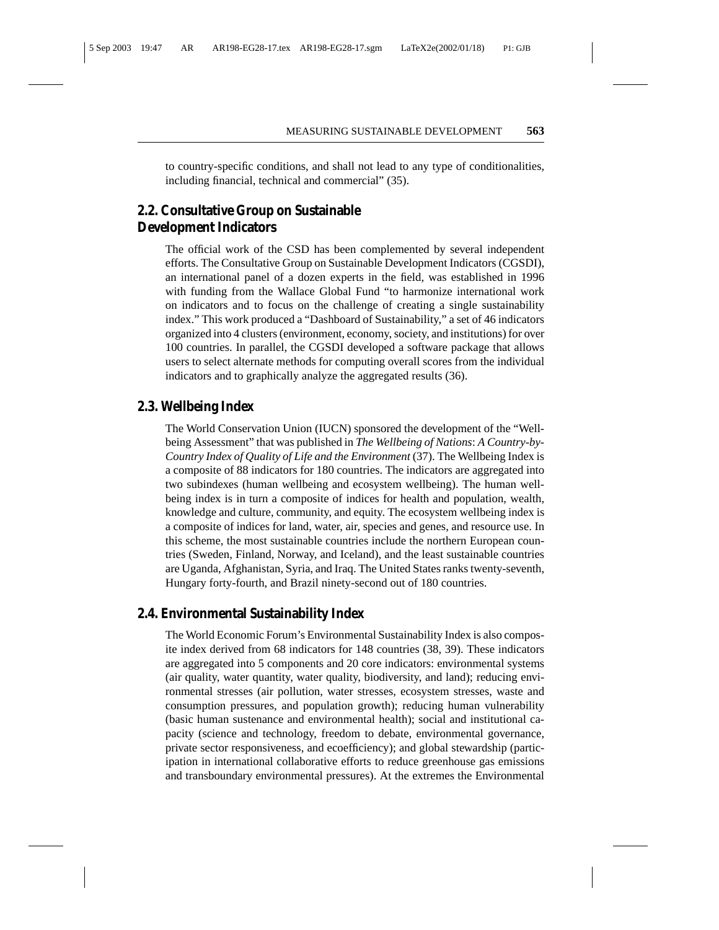to country-specific conditions, and shall not lead to any type of conditionalities, including financial, technical and commercial" (35).

## **2.2. Consultative Group on Sustainable Development Indicators**

The official work of the CSD has been complemented by several independent efforts. The Consultative Group on Sustainable Development Indicators (CGSDI), an international panel of a dozen experts in the field, was established in 1996 with funding from the Wallace Global Fund "to harmonize international work on indicators and to focus on the challenge of creating a single sustainability index." This work produced a "Dashboard of Sustainability," a set of 46 indicators organized into 4 clusters (environment, economy, society, and institutions) for over 100 countries. In parallel, the CGSDI developed a software package that allows users to select alternate methods for computing overall scores from the individual indicators and to graphically analyze the aggregated results (36).

#### **2.3. Wellbeing Index**

The World Conservation Union (IUCN) sponsored the development of the "Wellbeing Assessment" that was published in *The Wellbeing of Nations*: *A Country-by-Country Index of Quality of Life and the Environment* (37). The Wellbeing Index is a composite of 88 indicators for 180 countries. The indicators are aggregated into two subindexes (human wellbeing and ecosystem wellbeing). The human wellbeing index is in turn a composite of indices for health and population, wealth, knowledge and culture, community, and equity. The ecosystem wellbeing index is a composite of indices for land, water, air, species and genes, and resource use. In this scheme, the most sustainable countries include the northern European countries (Sweden, Finland, Norway, and Iceland), and the least sustainable countries are Uganda, Afghanistan, Syria, and Iraq. The United States ranks twenty-seventh, Hungary forty-fourth, and Brazil ninety-second out of 180 countries.

#### **2.4. Environmental Sustainability Index**

The World Economic Forum's Environmental Sustainability Index is also composite index derived from 68 indicators for 148 countries (38, 39). These indicators are aggregated into 5 components and 20 core indicators: environmental systems (air quality, water quantity, water quality, biodiversity, and land); reducing environmental stresses (air pollution, water stresses, ecosystem stresses, waste and consumption pressures, and population growth); reducing human vulnerability (basic human sustenance and environmental health); social and institutional capacity (science and technology, freedom to debate, environmental governance, private sector responsiveness, and ecoefficiency); and global stewardship (participation in international collaborative efforts to reduce greenhouse gas emissions and transboundary environmental pressures). At the extremes the Environmental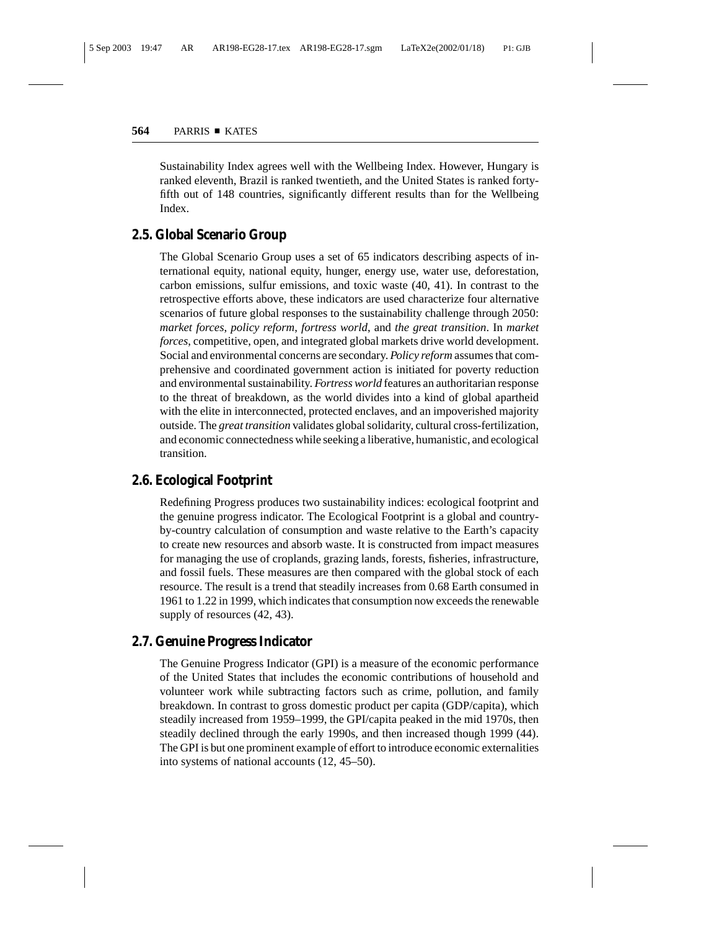Sustainability Index agrees well with the Wellbeing Index. However, Hungary is ranked eleventh, Brazil is ranked twentieth, and the United States is ranked fortyfifth out of 148 countries, significantly different results than for the Wellbeing Index.

## **2.5. Global Scenario Group**

The Global Scenario Group uses a set of 65 indicators describing aspects of international equity, national equity, hunger, energy use, water use, deforestation, carbon emissions, sulfur emissions, and toxic waste (40, 41). In contrast to the retrospective efforts above, these indicators are used characterize four alternative scenarios of future global responses to the sustainability challenge through 2050: *market forces*, *policy reform*, *fortress world*, and *the great transition*. In *market forces*, competitive, open, and integrated global markets drive world development. Social and environmental concerns are secondary. *Policy reform* assumes that comprehensive and coordinated government action is initiated for poverty reduction and environmental sustainability. *Fortress world* features an authoritarian response to the threat of breakdown, as the world divides into a kind of global apartheid with the elite in interconnected, protected enclaves, and an impoverished majority outside. The *great transition* validates global solidarity, cultural cross-fertilization, and economic connectedness while seeking a liberative, humanistic, and ecological transition.

## **2.6. Ecological Footprint**

Redefining Progress produces two sustainability indices: ecological footprint and the genuine progress indicator. The Ecological Footprint is a global and countryby-country calculation of consumption and waste relative to the Earth's capacity to create new resources and absorb waste. It is constructed from impact measures for managing the use of croplands, grazing lands, forests, fisheries, infrastructure, and fossil fuels. These measures are then compared with the global stock of each resource. The result is a trend that steadily increases from 0.68 Earth consumed in 1961 to 1.22 in 1999, which indicates that consumption now exceeds the renewable supply of resources (42, 43).

## **2.7. Genuine Progress Indicator**

The Genuine Progress Indicator (GPI) is a measure of the economic performance of the United States that includes the economic contributions of household and volunteer work while subtracting factors such as crime, pollution, and family breakdown. In contrast to gross domestic product per capita (GDP/capita), which steadily increased from 1959–1999, the GPI/capita peaked in the mid 1970s, then steadily declined through the early 1990s, and then increased though 1999 (44). The GPI is but one prominent example of effort to introduce economic externalities into systems of national accounts (12, 45–50).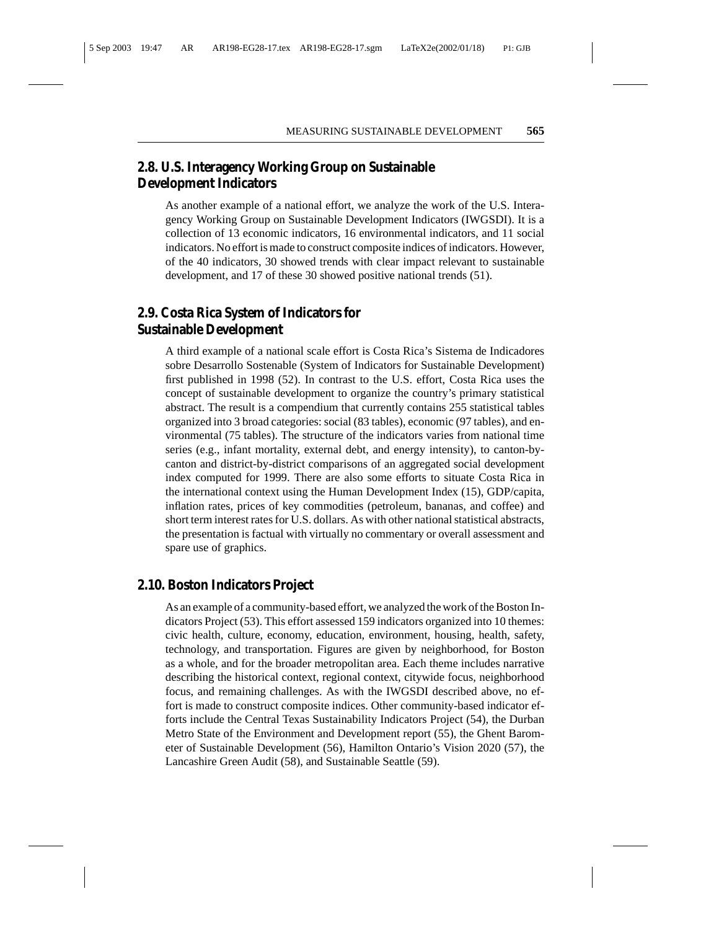## **2.8. U.S. Interagency Working Group on Sustainable Development Indicators**

As another example of a national effort, we analyze the work of the U.S. Interagency Working Group on Sustainable Development Indicators (IWGSDI). It is a collection of 13 economic indicators, 16 environmental indicators, and 11 social indicators. No effort is made to construct composite indices of indicators. However, of the 40 indicators, 30 showed trends with clear impact relevant to sustainable development, and 17 of these 30 showed positive national trends (51).

## **2.9. Costa Rica System of Indicators for Sustainable Development**

A third example of a national scale effort is Costa Rica's Sistema de Indicadores sobre Desarrollo Sostenable (System of Indicators for Sustainable Development) first published in 1998 (52). In contrast to the U.S. effort, Costa Rica uses the concept of sustainable development to organize the country's primary statistical abstract. The result is a compendium that currently contains 255 statistical tables organized into 3 broad categories: social (83 tables), economic (97 tables), and environmental (75 tables). The structure of the indicators varies from national time series (e.g., infant mortality, external debt, and energy intensity), to canton-bycanton and district-by-district comparisons of an aggregated social development index computed for 1999. There are also some efforts to situate Costa Rica in the international context using the Human Development Index (15), GDP/capita, inflation rates, prices of key commodities (petroleum, bananas, and coffee) and short term interest rates for U.S. dollars. As with other national statistical abstracts, the presentation is factual with virtually no commentary or overall assessment and spare use of graphics.

#### **2.10. Boston Indicators Project**

As an example of a community-based effort, we analyzed the work of the Boston Indicators Project (53). This effort assessed 159 indicators organized into 10 themes: civic health, culture, economy, education, environment, housing, health, safety, technology, and transportation. Figures are given by neighborhood, for Boston as a whole, and for the broader metropolitan area. Each theme includes narrative describing the historical context, regional context, citywide focus, neighborhood focus, and remaining challenges. As with the IWGSDI described above, no effort is made to construct composite indices. Other community-based indicator efforts include the Central Texas Sustainability Indicators Project (54), the Durban Metro State of the Environment and Development report (55), the Ghent Barometer of Sustainable Development (56), Hamilton Ontario's Vision 2020 (57), the Lancashire Green Audit (58), and Sustainable Seattle (59).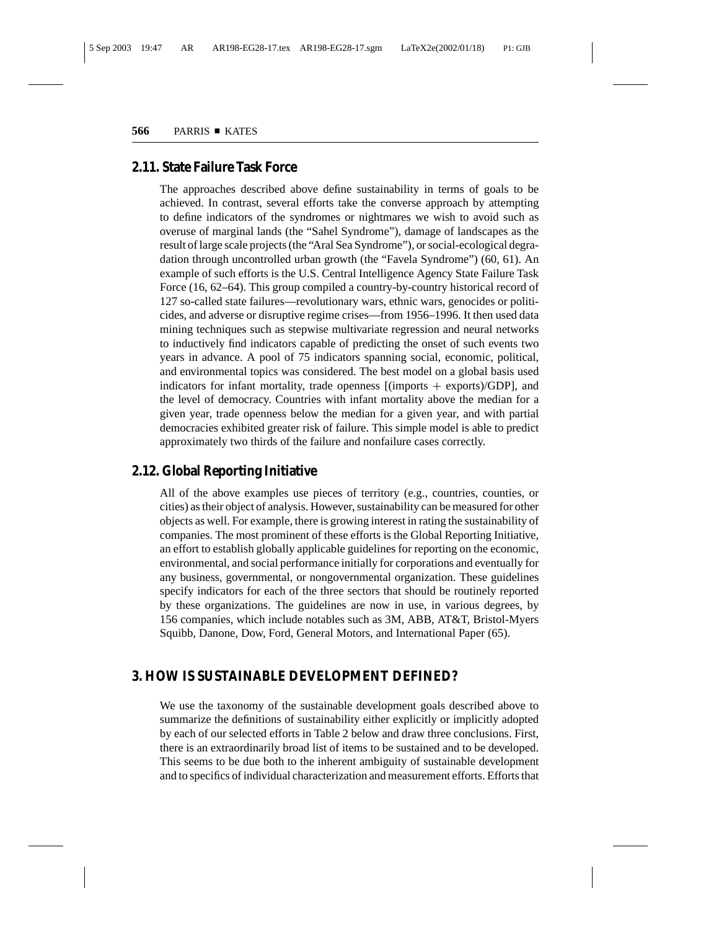#### **2.11. State Failure Task Force**

The approaches described above define sustainability in terms of goals to be achieved. In contrast, several efforts take the converse approach by attempting to define indicators of the syndromes or nightmares we wish to avoid such as overuse of marginal lands (the "Sahel Syndrome"), damage of landscapes as the result of large scale projects (the "Aral Sea Syndrome"), or social-ecological degradation through uncontrolled urban growth (the "Favela Syndrome") (60, 61). An example of such efforts is the U.S. Central Intelligence Agency State Failure Task Force (16, 62–64). This group compiled a country-by-country historical record of 127 so-called state failures—revolutionary wars, ethnic wars, genocides or politicides, and adverse or disruptive regime crises—from 1956–1996. It then used data mining techniques such as stepwise multivariate regression and neural networks to inductively find indicators capable of predicting the onset of such events two years in advance. A pool of 75 indicators spanning social, economic, political, and environmental topics was considered. The best model on a global basis used indicators for infant mortality, trade openness  $[(\text{imports} + \text{exports})/\text{GDP}]$ , and the level of democracy. Countries with infant mortality above the median for a given year, trade openness below the median for a given year, and with partial democracies exhibited greater risk of failure. This simple model is able to predict approximately two thirds of the failure and nonfailure cases correctly.

## **2.12. Global Reporting Initiative**

All of the above examples use pieces of territory (e.g., countries, counties, or cities) as their object of analysis. However, sustainability can be measured for other objects as well. For example, there is growing interest in rating the sustainability of companies. The most prominent of these efforts is the Global Reporting Initiative, an effort to establish globally applicable guidelines for reporting on the economic, environmental, and social performance initially for corporations and eventually for any business, governmental, or nongovernmental organization. These guidelines specify indicators for each of the three sectors that should be routinely reported by these organizations. The guidelines are now in use, in various degrees, by 156 companies, which include notables such as 3M, ABB, AT&T, Bristol-Myers Squibb, Danone, Dow, Ford, General Motors, and International Paper (65).

#### **3. HOW IS SUSTAINABLE DEVELOPMENT DEFINED?**

We use the taxonomy of the sustainable development goals described above to summarize the definitions of sustainability either explicitly or implicitly adopted by each of our selected efforts in Table 2 below and draw three conclusions. First, there is an extraordinarily broad list of items to be sustained and to be developed. This seems to be due both to the inherent ambiguity of sustainable development and to specifics of individual characterization and measurement efforts. Efforts that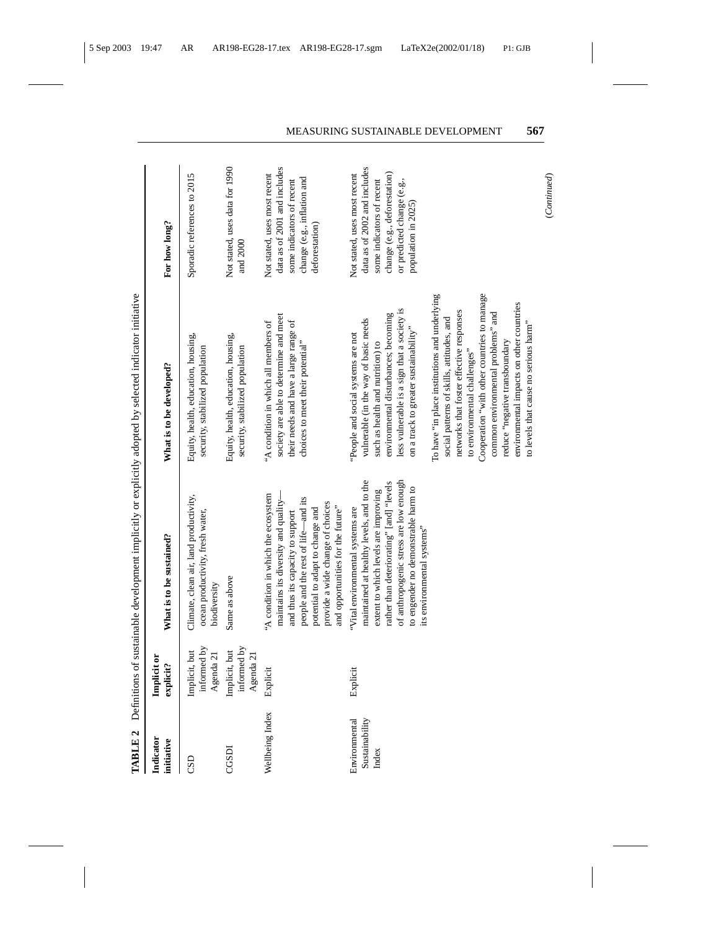| TABLE <sub>2</sub>                       |                                           |                                                                                                                                                                                                                                                                                 | Definitions of sustainable development implicitly or explicitly adopted by selected indicator initiative                                                                                                                                                                                                                                                                                                                                                                                                                                                                                                                             |                                                                                                                                                                                |
|------------------------------------------|-------------------------------------------|---------------------------------------------------------------------------------------------------------------------------------------------------------------------------------------------------------------------------------------------------------------------------------|--------------------------------------------------------------------------------------------------------------------------------------------------------------------------------------------------------------------------------------------------------------------------------------------------------------------------------------------------------------------------------------------------------------------------------------------------------------------------------------------------------------------------------------------------------------------------------------------------------------------------------------|--------------------------------------------------------------------------------------------------------------------------------------------------------------------------------|
| Indicator<br>initiative                  | Implicit or<br>explicit?                  | What is to be sustained?                                                                                                                                                                                                                                                        | What is to be developed?                                                                                                                                                                                                                                                                                                                                                                                                                                                                                                                                                                                                             | For how long?                                                                                                                                                                  |
| CSD                                      | informed by<br>Agenda 21<br>Implicit, but | Climate, clean air, land productivity,<br>ocean productivity, fresh water,<br>biodiversity                                                                                                                                                                                      | Equity, health, education, housing,<br>security, stabilized population                                                                                                                                                                                                                                                                                                                                                                                                                                                                                                                                                               | Sporadic references to 2015                                                                                                                                                    |
| CGSDI                                    | Implicit, but<br>informed by<br>Agenda 21 | Same as above                                                                                                                                                                                                                                                                   | Equity, health, education, housing,<br>security, stabilized population                                                                                                                                                                                                                                                                                                                                                                                                                                                                                                                                                               | Not stated, uses data for 1990<br>and 2000                                                                                                                                     |
| Wellbeing Index                          | Explicit                                  | maintains its diversity and quality-<br>'A condition in which the ecosystem<br>people and the rest of life-and its<br>provide a wide change of choices<br>and opportunities for the future"<br>potential to adapt to change and<br>and thus its capacity to support             | society are able to determine and meet<br>their needs and have a large range of<br>"A condition in which all members of<br>choices to meet their potential"                                                                                                                                                                                                                                                                                                                                                                                                                                                                          | data as of 2001 and includes<br>Not stated, uses most recent<br>change (e.g., inflation and<br>some indicators of recent<br>deforestation)                                     |
| Sustainability<br>Environmental<br>Index | Explicit                                  | maintained at healthy levels, and to the<br>of anthropogenic stress are low enough<br>rather than deteriorating" [and] "levels<br>to engender no demonstrable harm to<br>extent to which levels are improving<br>"Vital environmental systems are<br>its environmental systems" | Cooperation "with other countries to manage<br>To have "in place institutions and underlying<br>environmental impacts on other countries<br>less vulnerable is a sign that a society is<br>networks that foster effective responses<br>common environmental problems" and<br>environmental disturbances; becoming<br>vulnerable (in the way of basic needs<br>social patterns of skills, attitudes, and<br>to levels that cause no serious harm"<br>on a track to greater sustainability"<br>People and social systems are not<br>reduce "negative transboundary<br>such as health and nutrition) to<br>to environmental challenges" | data as of 2002 and includes<br>Not stated, uses most recent<br>change (e.g., deforestation)<br>some indicators of recent<br>or predicted change (e.g.,<br>population in 2025) |

 $(Continued) % \begin{minipage}[b]{0.5\linewidth} \centering \centerline{\includegraphics[width=0.5\linewidth]{images/STM100020.jpg} \centerline{\includegraphics[width=0.5\linewidth]{images/STM100020.jpg} \centerline{\includegraphics[width=0.5\linewidth]{images/STM100020.jpg} \centerline{\includegraphics[width=0.5\linewidth]{images/STM100020.jpg} \centerline{\includegraphics[width=0.5\linewidth]{images/STM100020.jpg} \centerline{\includegraphics[width=0.5\linewidth]{images/STM100020.jpg} \centerline{\includegraphics[width=0.5\linewidth]{images/STM100020.jpg} \centerline{\includegraphics[width$ (*Continued*)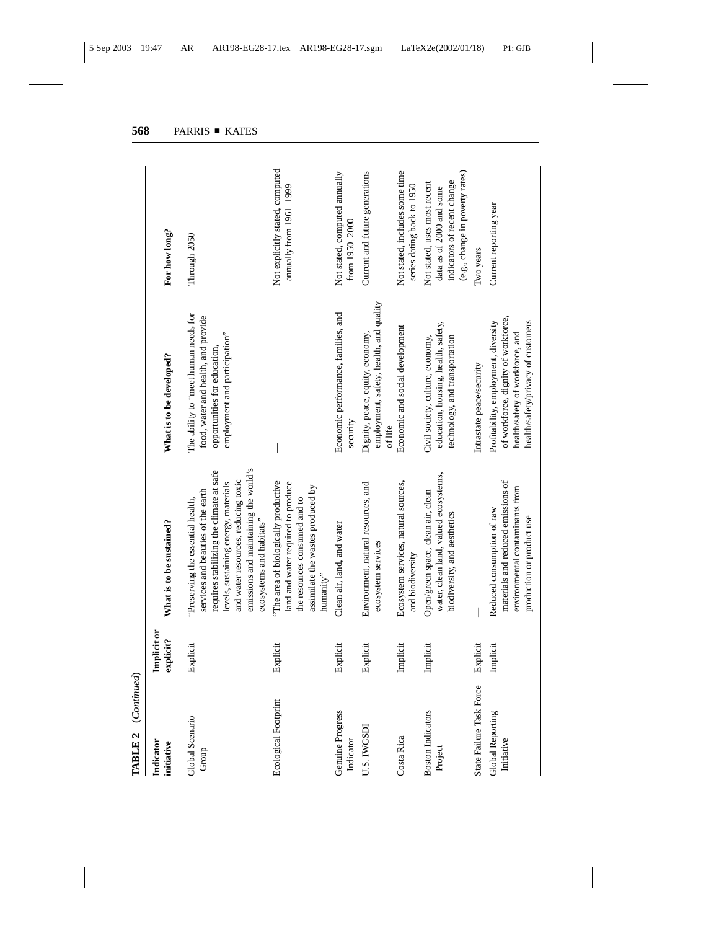| (Continued)<br>TABLE <sub>2</sub>   |                          |                                                                                                                                                                                                                                                                        |                                                                                                                                                      |                                                                                                                            |
|-------------------------------------|--------------------------|------------------------------------------------------------------------------------------------------------------------------------------------------------------------------------------------------------------------------------------------------------------------|------------------------------------------------------------------------------------------------------------------------------------------------------|----------------------------------------------------------------------------------------------------------------------------|
| Indicator<br>initiative             | Implicit or<br>explicit? | What is to be sustained?                                                                                                                                                                                                                                               | What is to be developed?                                                                                                                             | For how long?                                                                                                              |
| Global Scenario<br>Group            | Explicit                 | emissions and maintaining the world's<br>requires stabilizing the climate at safe<br>and water resources, reducing toxic<br>levels, sustaining energy, materials<br>services and beauties of the earth<br>Preserving the essential health,<br>ecosystems and habitats" | The ability to "meet human needs for<br>food, water and health, and provide<br>employment and participation"<br>opportunities for education,         | Through 2050                                                                                                               |
| Ecological Footprint                | Explicit                 | "The area of biologically productive<br>land and water required to produce<br>assimilate the wastes produced by<br>the resources consumed and to<br>humanity"                                                                                                          |                                                                                                                                                      | Not explicitly stated, computed<br>amually from 1961-1999                                                                  |
| Genuine Progress<br>Indicator       | Explicit                 | Clean air, land, and water                                                                                                                                                                                                                                             | Economic performance, families, and<br>security                                                                                                      | Not stated, computed annually<br>from 1950-2000                                                                            |
| U.S. IWGSDI                         | Explicit                 | Environment, natural resources, and<br>ecosystem services                                                                                                                                                                                                              | employment, safety, health, and quality<br>Dignity, peace, equity, economy,<br>of life                                                               | Current and future generations                                                                                             |
| Costa Rica                          | Implicit                 | Ecosystem services, natural sources,<br>and biodiversity                                                                                                                                                                                                               | Economic and social development                                                                                                                      | Not stated, includes some time<br>series dating back to 1950                                                               |
| <b>Boston Indicators</b><br>Project | Implicit                 | water, clean land, valued ecosystems,<br>Open/green space, clean air, clean<br>biodiversity, and aesthetics                                                                                                                                                            | education, housing, health, safety,<br>technology, and transportation<br>Civil society, culture, economy,                                            | (e.g., change in poverty rates)<br>indicators of recent change<br>Not stated, uses most recent<br>data as of 2000 and some |
| State Failure Task Force            | Explicit                 |                                                                                                                                                                                                                                                                        | Intrastate peace/security                                                                                                                            | Two years                                                                                                                  |
| Global Reporting<br>Initiative      | Implicit                 | materials and reduced emissions of<br>environmental contaminants from<br>Reduced consumption of raw<br>production or product use                                                                                                                                       | of workforce, dignity of workforce,<br>health/safety/privacy of customers<br>Profitability, employment, diversity<br>health/safety of workforce, and | Current reporting year                                                                                                     |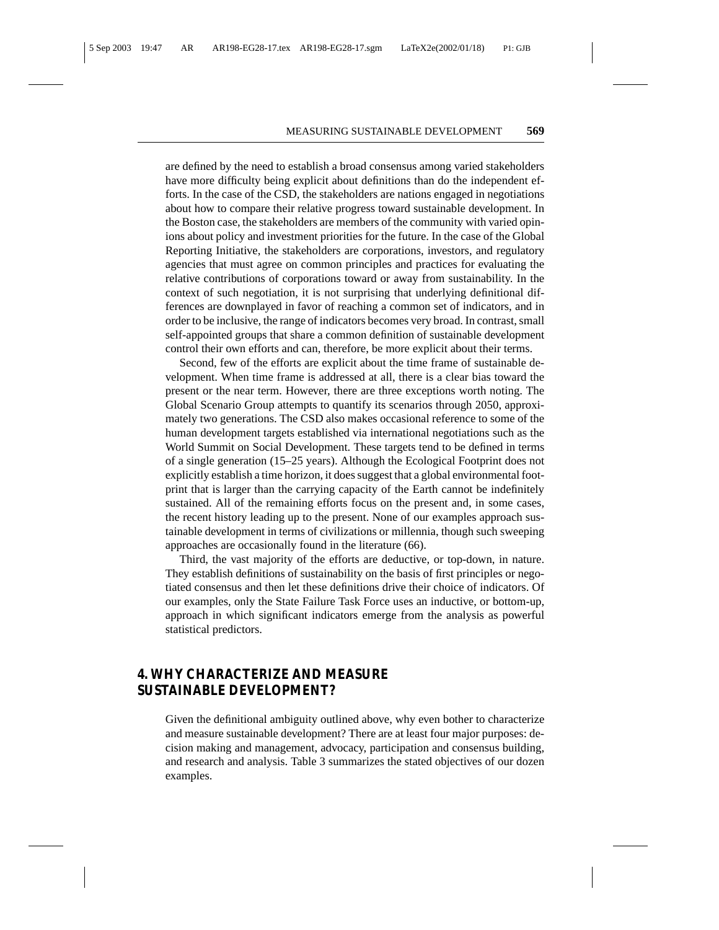are defined by the need to establish a broad consensus among varied stakeholders have more difficulty being explicit about definitions than do the independent efforts. In the case of the CSD, the stakeholders are nations engaged in negotiations about how to compare their relative progress toward sustainable development. In the Boston case, the stakeholders are members of the community with varied opinions about policy and investment priorities for the future. In the case of the Global Reporting Initiative, the stakeholders are corporations, investors, and regulatory agencies that must agree on common principles and practices for evaluating the relative contributions of corporations toward or away from sustainability. In the context of such negotiation, it is not surprising that underlying definitional differences are downplayed in favor of reaching a common set of indicators, and in order to be inclusive, the range of indicators becomes very broad. In contrast, small self-appointed groups that share a common definition of sustainable development control their own efforts and can, therefore, be more explicit about their terms.

Second, few of the efforts are explicit about the time frame of sustainable development. When time frame is addressed at all, there is a clear bias toward the present or the near term. However, there are three exceptions worth noting. The Global Scenario Group attempts to quantify its scenarios through 2050, approximately two generations. The CSD also makes occasional reference to some of the human development targets established via international negotiations such as the World Summit on Social Development. These targets tend to be defined in terms of a single generation (15–25 years). Although the Ecological Footprint does not explicitly establish a time horizon, it does suggest that a global environmental footprint that is larger than the carrying capacity of the Earth cannot be indefinitely sustained. All of the remaining efforts focus on the present and, in some cases, the recent history leading up to the present. None of our examples approach sustainable development in terms of civilizations or millennia, though such sweeping approaches are occasionally found in the literature (66).

Third, the vast majority of the efforts are deductive, or top-down, in nature. They establish definitions of sustainability on the basis of first principles or negotiated consensus and then let these definitions drive their choice of indicators. Of our examples, only the State Failure Task Force uses an inductive, or bottom-up, approach in which significant indicators emerge from the analysis as powerful statistical predictors.

## **4. WHY CHARACTERIZE AND MEASURE SUSTAINABLE DEVELOPMENT?**

Given the definitional ambiguity outlined above, why even bother to characterize and measure sustainable development? There are at least four major purposes: decision making and management, advocacy, participation and consensus building, and research and analysis. Table 3 summarizes the stated objectives of our dozen examples.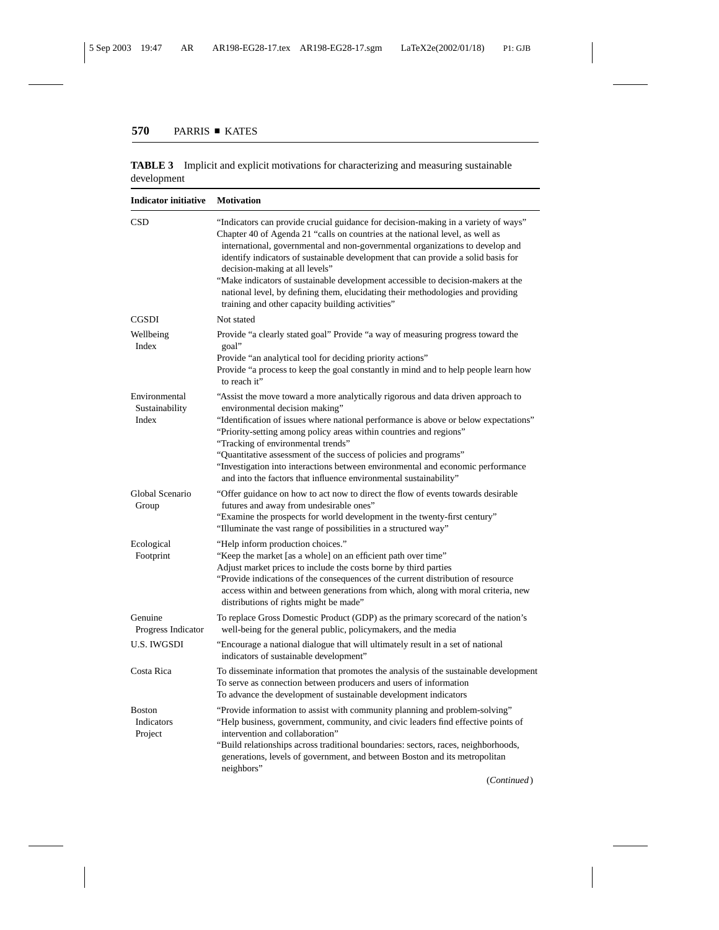| <b>Indicator initiative</b>              | <b>Motivation</b>                                                                                                                                                                                                                                                                                                                                                                                                                                                                                                                                                                                      |
|------------------------------------------|--------------------------------------------------------------------------------------------------------------------------------------------------------------------------------------------------------------------------------------------------------------------------------------------------------------------------------------------------------------------------------------------------------------------------------------------------------------------------------------------------------------------------------------------------------------------------------------------------------|
| CSD                                      | "Indicators can provide crucial guidance for decision-making in a variety of ways"<br>Chapter 40 of Agenda 21 "calls on countries at the national level, as well as<br>international, governmental and non-governmental organizations to develop and<br>identify indicators of sustainable development that can provide a solid basis for<br>decision-making at all levels"<br>"Make indicators of sustainable development accessible to decision-makers at the<br>national level, by defining them, elucidating their methodologies and providing<br>training and other capacity building activities" |
| <b>CGSDI</b>                             | Not stated                                                                                                                                                                                                                                                                                                                                                                                                                                                                                                                                                                                             |
| Wellbeing<br>Index                       | Provide "a clearly stated goal" Provide "a way of measuring progress toward the<br>goal"<br>Provide "an analytical tool for deciding priority actions"<br>Provide "a process to keep the goal constantly in mind and to help people learn how<br>to reach it"                                                                                                                                                                                                                                                                                                                                          |
| Environmental<br>Sustainability<br>Index | "Assist the move toward a more analytically rigorous and data driven approach to<br>environmental decision making"<br>"Identification of issues where national performance is above or below expectations"<br>"Priority-setting among policy areas within countries and regions"<br>"Tracking of environmental trends"<br>"Quantitative assessment of the success of policies and programs"<br>"Investigation into interactions between environmental and economic performance<br>and into the factors that influence environmental sustainability"                                                    |
| Global Scenario<br>Group                 | "Offer guidance on how to act now to direct the flow of events towards desirable<br>futures and away from undesirable ones"<br>"Examine the prospects for world development in the twenty-first century"<br>"Illuminate the vast range of possibilities in a structured way"                                                                                                                                                                                                                                                                                                                           |
| Ecological<br>Footprint                  | "Help inform production choices."<br>"Keep the market [as a whole] on an efficient path over time"<br>Adjust market prices to include the costs borne by third parties<br>"Provide indications of the consequences of the current distribution of resource<br>access within and between generations from which, along with moral criteria, new<br>distributions of rights might be made"                                                                                                                                                                                                               |
| Genuine<br>Progress Indicator            | To replace Gross Domestic Product (GDP) as the primary scorecard of the nation's<br>well-being for the general public, policymakers, and the media                                                                                                                                                                                                                                                                                                                                                                                                                                                     |
| <b>U.S. IWGSDI</b>                       | "Encourage a national dialogue that will ultimately result in a set of national<br>indicators of sustainable development"                                                                                                                                                                                                                                                                                                                                                                                                                                                                              |
| Costa Rica                               | To disseminate information that promotes the analysis of the sustainable development<br>To serve as connection between producers and users of information<br>To advance the development of sustainable development indicators                                                                                                                                                                                                                                                                                                                                                                          |
| <b>Boston</b><br>Indicators<br>Project   | "Provide information to assist with community planning and problem-solving"<br>"Help business, government, community, and civic leaders find effective points of<br>intervention and collaboration"<br>"Build relationships across traditional boundaries: sectors, races, neighborhoods,<br>generations, levels of government, and between Boston and its metropolitan<br>neighbors"                                                                                                                                                                                                                  |

**TABLE 3** Implicit and explicit motivations for characterizing and measuring sustainable development

(*Continued*)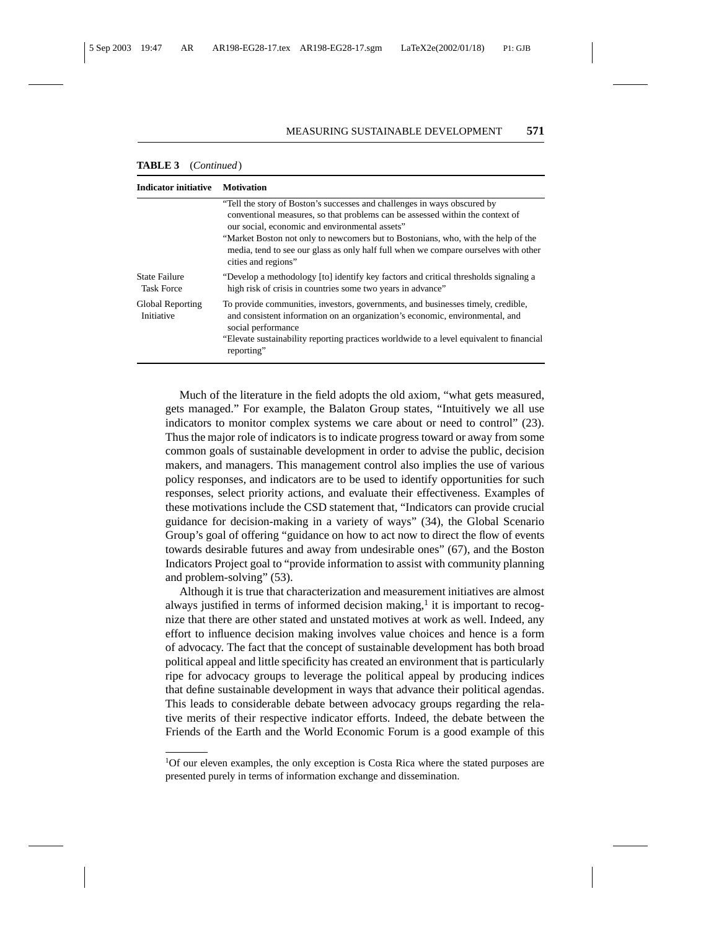| <b>Indicator initiative</b>               | <b>Motivation</b>                                                                                                                                                                                                                                                                                                                                                                                               |
|-------------------------------------------|-----------------------------------------------------------------------------------------------------------------------------------------------------------------------------------------------------------------------------------------------------------------------------------------------------------------------------------------------------------------------------------------------------------------|
|                                           | "Tell the story of Boston's successes and challenges in ways obscured by<br>conventional measures, so that problems can be assessed within the context of<br>our social, economic and environmental assets"<br>"Market Boston not only to new comers but to Bostonians, who, with the help of the<br>media, tend to see our glass as only half full when we compare ourselves with other<br>cities and regions" |
| <b>State Failure</b><br><b>Task Force</b> | "Develop a methodology [to] identify key factors and critical thresholds signaling a<br>high risk of crisis in countries some two years in advance"                                                                                                                                                                                                                                                             |
| Global Reporting<br>Initiative            | To provide communities, investors, governments, and businesses timely, credible,<br>and consistent information on an organization's economic, environmental, and<br>social performance<br>"Elevate sustainability reporting practices worldwide to a level equivalent to financial<br>reporting"                                                                                                                |

#### **TABLE 3** (*Continued*)

Much of the literature in the field adopts the old axiom, "what gets measured, gets managed." For example, the Balaton Group states, "Intuitively we all use indicators to monitor complex systems we care about or need to control" (23). Thus the major role of indicators is to indicate progress toward or away from some common goals of sustainable development in order to advise the public, decision makers, and managers. This management control also implies the use of various policy responses, and indicators are to be used to identify opportunities for such responses, select priority actions, and evaluate their effectiveness. Examples of these motivations include the CSD statement that, "Indicators can provide crucial guidance for decision-making in a variety of ways" (34), the Global Scenario Group's goal of offering "guidance on how to act now to direct the flow of events towards desirable futures and away from undesirable ones" (67), and the Boston Indicators Project goal to "provide information to assist with community planning and problem-solving" (53).

Although it is true that characterization and measurement initiatives are almost always justified in terms of informed decision making, $<sup>1</sup>$  it is important to recog-</sup> nize that there are other stated and unstated motives at work as well. Indeed, any effort to influence decision making involves value choices and hence is a form of advocacy. The fact that the concept of sustainable development has both broad political appeal and little specificity has created an environment that is particularly ripe for advocacy groups to leverage the political appeal by producing indices that define sustainable development in ways that advance their political agendas. This leads to considerable debate between advocacy groups regarding the relative merits of their respective indicator efforts. Indeed, the debate between the Friends of the Earth and the World Economic Forum is a good example of this

<sup>&</sup>lt;sup>1</sup>Of our eleven examples, the only exception is Costa Rica where the stated purposes are presented purely in terms of information exchange and dissemination.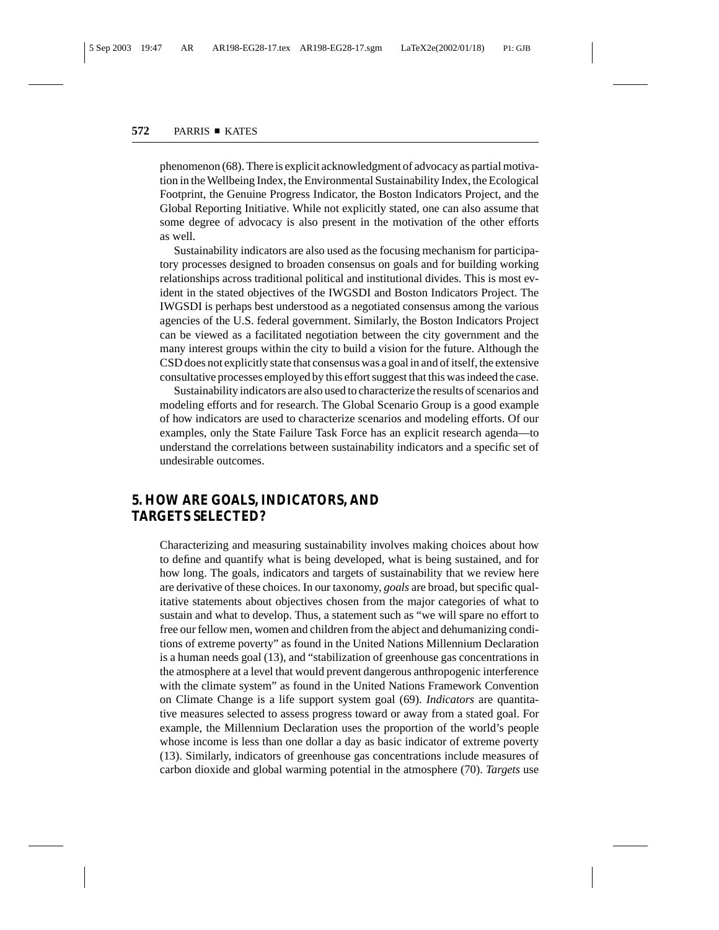phenomenon (68). There is explicit acknowledgment of advocacy as partial motivation in the Wellbeing Index, the Environmental Sustainability Index, the Ecological Footprint, the Genuine Progress Indicator, the Boston Indicators Project, and the Global Reporting Initiative. While not explicitly stated, one can also assume that some degree of advocacy is also present in the motivation of the other efforts as well.

Sustainability indicators are also used as the focusing mechanism for participatory processes designed to broaden consensus on goals and for building working relationships across traditional political and institutional divides. This is most evident in the stated objectives of the IWGSDI and Boston Indicators Project. The IWGSDI is perhaps best understood as a negotiated consensus among the various agencies of the U.S. federal government. Similarly, the Boston Indicators Project can be viewed as a facilitated negotiation between the city government and the many interest groups within the city to build a vision for the future. Although the CSD does not explicitly state that consensus was a goal in and of itself, the extensive consultative processes employed by this effort suggest that this was indeed the case.

Sustainability indicators are also used to characterize the results of scenarios and modeling efforts and for research. The Global Scenario Group is a good example of how indicators are used to characterize scenarios and modeling efforts. Of our examples, only the State Failure Task Force has an explicit research agenda—to understand the correlations between sustainability indicators and a specific set of undesirable outcomes.

# **5. HOW ARE GOALS, INDICATORS, AND TARGETS SELECTED?**

Characterizing and measuring sustainability involves making choices about how to define and quantify what is being developed, what is being sustained, and for how long. The goals, indicators and targets of sustainability that we review here are derivative of these choices. In our taxonomy, *goals* are broad, but specific qualitative statements about objectives chosen from the major categories of what to sustain and what to develop. Thus, a statement such as "we will spare no effort to free our fellow men, women and children from the abject and dehumanizing conditions of extreme poverty" as found in the United Nations Millennium Declaration is a human needs goal (13), and "stabilization of greenhouse gas concentrations in the atmosphere at a level that would prevent dangerous anthropogenic interference with the climate system" as found in the United Nations Framework Convention on Climate Change is a life support system goal (69). *Indicators* are quantitative measures selected to assess progress toward or away from a stated goal. For example, the Millennium Declaration uses the proportion of the world's people whose income is less than one dollar a day as basic indicator of extreme poverty (13). Similarly, indicators of greenhouse gas concentrations include measures of carbon dioxide and global warming potential in the atmosphere (70). *Targets* use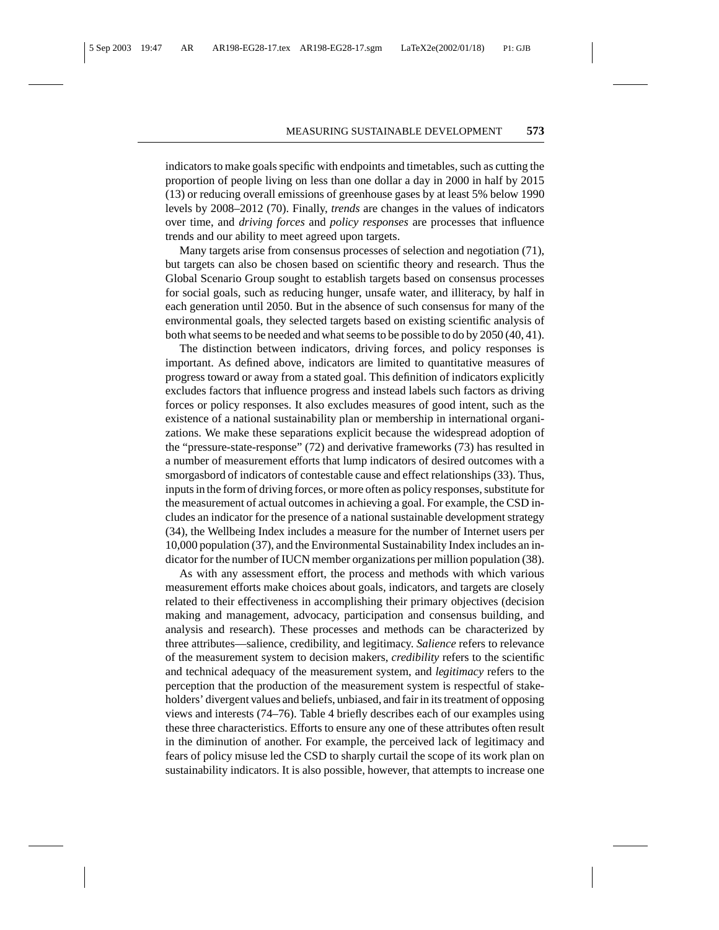indicators to make goals specific with endpoints and timetables, such as cutting the proportion of people living on less than one dollar a day in 2000 in half by 2015 (13) or reducing overall emissions of greenhouse gases by at least 5% below 1990 levels by 2008–2012 (70). Finally, *trends* are changes in the values of indicators over time, and *driving forces* and *policy responses* are processes that influence trends and our ability to meet agreed upon targets.

Many targets arise from consensus processes of selection and negotiation (71), but targets can also be chosen based on scientific theory and research. Thus the Global Scenario Group sought to establish targets based on consensus processes for social goals, such as reducing hunger, unsafe water, and illiteracy, by half in each generation until 2050. But in the absence of such consensus for many of the environmental goals, they selected targets based on existing scientific analysis of both what seems to be needed and what seems to be possible to do by 2050 (40, 41).

The distinction between indicators, driving forces, and policy responses is important. As defined above, indicators are limited to quantitative measures of progress toward or away from a stated goal. This definition of indicators explicitly excludes factors that influence progress and instead labels such factors as driving forces or policy responses. It also excludes measures of good intent, such as the existence of a national sustainability plan or membership in international organizations. We make these separations explicit because the widespread adoption of the "pressure-state-response" (72) and derivative frameworks (73) has resulted in a number of measurement efforts that lump indicators of desired outcomes with a smorgasbord of indicators of contestable cause and effect relationships (33). Thus, inputs in the form of driving forces, or more often as policy responses, substitute for the measurement of actual outcomes in achieving a goal. For example, the CSD includes an indicator for the presence of a national sustainable development strategy (34), the Wellbeing Index includes a measure for the number of Internet users per 10,000 population (37), and the Environmental Sustainability Index includes an indicator for the number of IUCN member organizations per million population (38).

As with any assessment effort, the process and methods with which various measurement efforts make choices about goals, indicators, and targets are closely related to their effectiveness in accomplishing their primary objectives (decision making and management, advocacy, participation and consensus building, and analysis and research). These processes and methods can be characterized by three attributes—salience, credibility, and legitimacy. *Salience* refers to relevance of the measurement system to decision makers, *credibility* refers to the scientific and technical adequacy of the measurement system, and *legitimacy* refers to the perception that the production of the measurement system is respectful of stakeholders' divergent values and beliefs, unbiased, and fair in its treatment of opposing views and interests (74–76). Table 4 briefly describes each of our examples using these three characteristics. Efforts to ensure any one of these attributes often result in the diminution of another. For example, the perceived lack of legitimacy and fears of policy misuse led the CSD to sharply curtail the scope of its work plan on sustainability indicators. It is also possible, however, that attempts to increase one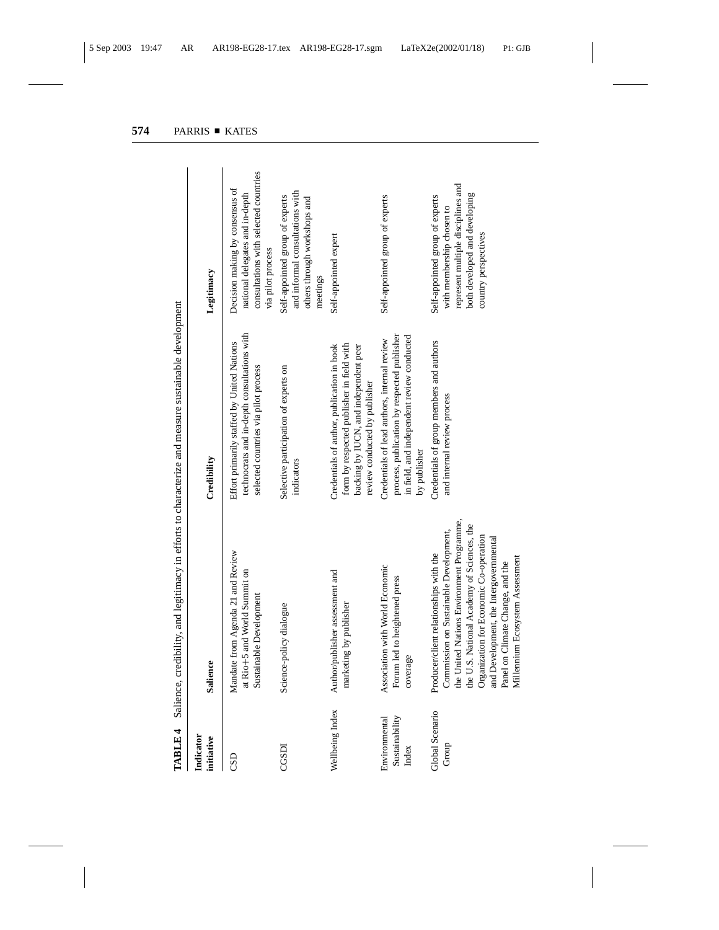| Indicator<br>initiative                  | <b>Salience</b>                                                                                                                                                                                                                                                                                                                        | Credibility                                                                                                                                                       | Legitimacy                                                                                                                                                  |
|------------------------------------------|----------------------------------------------------------------------------------------------------------------------------------------------------------------------------------------------------------------------------------------------------------------------------------------------------------------------------------------|-------------------------------------------------------------------------------------------------------------------------------------------------------------------|-------------------------------------------------------------------------------------------------------------------------------------------------------------|
| CSD                                      | Mandate from Agenda 21 and Review<br>at Rio+5 and World Summit on<br>Sustainable Development                                                                                                                                                                                                                                           | technocrats and in-depth consultations with<br>Effort primarily staffed by United Nations<br>selected countries via pilot process                                 | consultations with selected countries<br>Decision making by consensus of<br>national delegates and in-depth<br>via pilot process                            |
| CGSDI                                    | Science-policy dialogue                                                                                                                                                                                                                                                                                                                | Selective participation of experts on<br>indicators                                                                                                               | and informal consultations with<br>Self-appointed group of experts<br>others through workshops and<br>meetings                                              |
| Wellbeing Index                          | Author/publisher assessment and<br>marketing by publisher                                                                                                                                                                                                                                                                              | form by respected publisher in field with<br>Credentials of author, publication in book<br>backing by IUCN, and independent peer<br>review conducted by publisher | Self-appointed expert                                                                                                                                       |
| Sustainability<br>Environmental<br>Index | Association with World Economic<br>Forum led to heightened press<br>coverage                                                                                                                                                                                                                                                           | process, publication by respected publisher<br>in field, and independent review conducted<br>Credentials of lead authors, internal review<br>by publisher         | Self-appointed group of experts                                                                                                                             |
| Global Scenario<br>Group                 | the United Nations Environment Programme,<br>the U.S. National Academy of Sciences, the<br>Commission on Sustainable Development,<br>Organization for Economic Co-operation<br>and Development, the Intergovernmental<br>Producer/client relationships with the<br>Millennium Ecosystem Assessment<br>Panel on Climate Change, and the | Credentials of group members and authors<br>and internal review process                                                                                           | represent multiple disciplines and<br>both developed and developing<br>Self-appointed group of experts<br>with membership chosen to<br>country perspectives |

TABLE 4 Salience, credibility, and legitimacy in efforts to characterize and measure sustainable development **TABLE 4** Salience, credibility, and legitimacy in efforts to characterize and measure sustainable development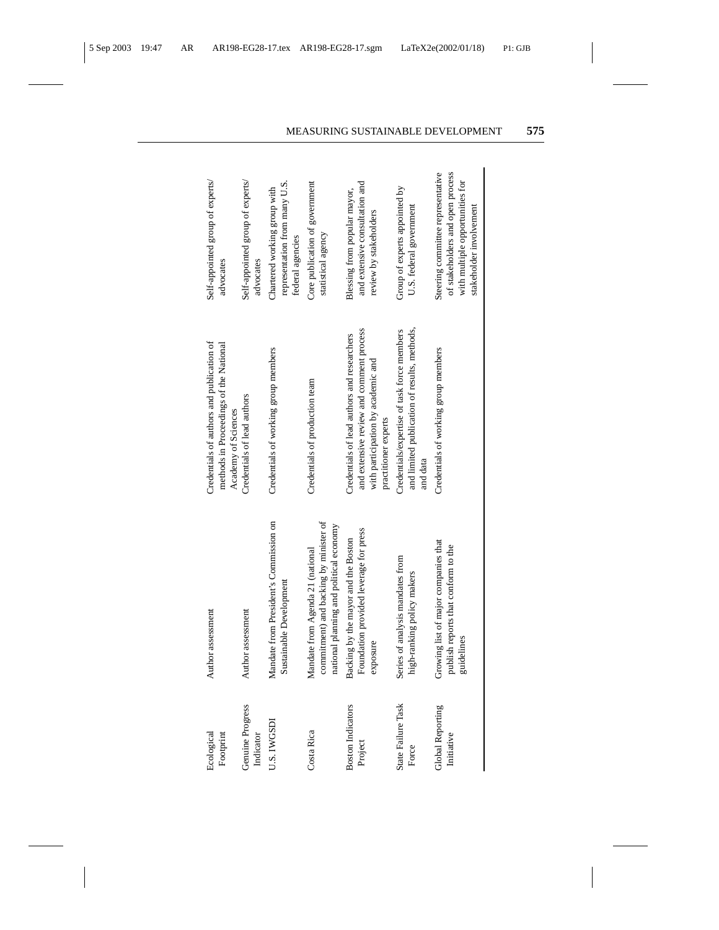| Ecological<br>Footprint               | Author assessment                                                                                                     | Credentials of authors and publication of<br>methods in Proceedings of the National<br>Academy of Sciences                                            | Self-appointed group of experts/<br>advocates                                                                                       |
|---------------------------------------|-----------------------------------------------------------------------------------------------------------------------|-------------------------------------------------------------------------------------------------------------------------------------------------------|-------------------------------------------------------------------------------------------------------------------------------------|
| <b>Genuine Progress</b><br>Indicator  | Author assessment                                                                                                     | Credentials of lead authors                                                                                                                           | Self-appointed group of experts/<br>advocates                                                                                       |
| J.S. IWGSDI                           | Mandate from President's Commission on<br>Sustainable Development                                                     | Credentials of working group members                                                                                                                  | representation from many U.S.<br>Chartered working group with<br>federal agencies                                                   |
| Costa Rica                            | commitment) and backing by minister of<br>national planning and political economy<br>Mandate from Agenda 21 (national | Credentials of production team                                                                                                                        | Core publication of government<br>statistical agency                                                                                |
| <b>Boston Indicators</b><br>Project   | Foundation provided leverage for press<br>Backing by the mayor and the Boston<br>exposure                             | and extensive review and comment process<br>Credentials of lead authors and researchers<br>with participation by academic and<br>practitioner experts | and extensive consultation and<br>Blessing from popular mayor,<br>review by stakeholders                                            |
| State Failure Task<br>Force           | Series of analysis mandates from<br>high-ranking policy makers                                                        | and limited publication of results, methods,<br>Credentials/expertise of task force members<br>and data                                               | Group of experts appointed by<br>U.S. federal government                                                                            |
| <b>Global Reporting</b><br>Initiative | Growing list of major companies that<br>publish reports that conform to the<br>guidelines                             | Credentials of working group members                                                                                                                  | Steering committee representative<br>of stakeholders and open process<br>with multiple opportunities for<br>stakeholder involvement |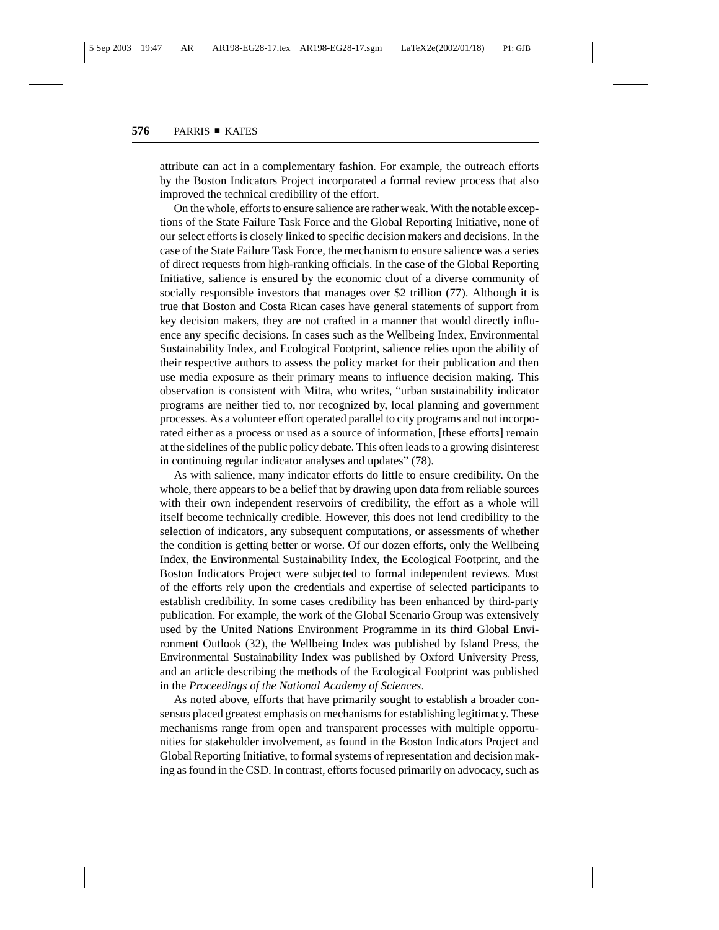attribute can act in a complementary fashion. For example, the outreach efforts by the Boston Indicators Project incorporated a formal review process that also improved the technical credibility of the effort.

On the whole, efforts to ensure salience are rather weak. With the notable exceptions of the State Failure Task Force and the Global Reporting Initiative, none of our select efforts is closely linked to specific decision makers and decisions. In the case of the State Failure Task Force, the mechanism to ensure salience was a series of direct requests from high-ranking officials. In the case of the Global Reporting Initiative, salience is ensured by the economic clout of a diverse community of socially responsible investors that manages over \$2 trillion (77). Although it is true that Boston and Costa Rican cases have general statements of support from key decision makers, they are not crafted in a manner that would directly influence any specific decisions. In cases such as the Wellbeing Index, Environmental Sustainability Index, and Ecological Footprint, salience relies upon the ability of their respective authors to assess the policy market for their publication and then use media exposure as their primary means to influence decision making. This observation is consistent with Mitra, who writes, "urban sustainability indicator programs are neither tied to, nor recognized by, local planning and government processes. As a volunteer effort operated parallel to city programs and not incorporated either as a process or used as a source of information, [these efforts] remain at the sidelines of the public policy debate. This often leads to a growing disinterest in continuing regular indicator analyses and updates" (78).

As with salience, many indicator efforts do little to ensure credibility. On the whole, there appears to be a belief that by drawing upon data from reliable sources with their own independent reservoirs of credibility, the effort as a whole will itself become technically credible. However, this does not lend credibility to the selection of indicators, any subsequent computations, or assessments of whether the condition is getting better or worse. Of our dozen efforts, only the Wellbeing Index, the Environmental Sustainability Index, the Ecological Footprint, and the Boston Indicators Project were subjected to formal independent reviews. Most of the efforts rely upon the credentials and expertise of selected participants to establish credibility. In some cases credibility has been enhanced by third-party publication. For example, the work of the Global Scenario Group was extensively used by the United Nations Environment Programme in its third Global Environment Outlook (32), the Wellbeing Index was published by Island Press, the Environmental Sustainability Index was published by Oxford University Press, and an article describing the methods of the Ecological Footprint was published in the *Proceedings of the National Academy of Sciences*.

As noted above, efforts that have primarily sought to establish a broader consensus placed greatest emphasis on mechanisms for establishing legitimacy. These mechanisms range from open and transparent processes with multiple opportunities for stakeholder involvement, as found in the Boston Indicators Project and Global Reporting Initiative, to formal systems of representation and decision making as found in the CSD. In contrast, efforts focused primarily on advocacy, such as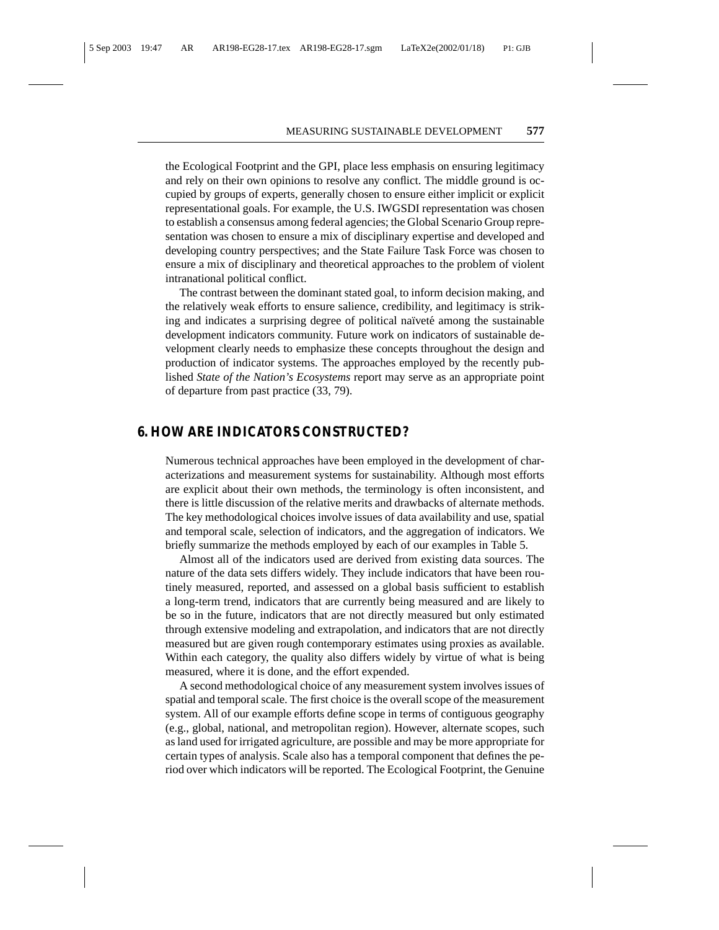the Ecological Footprint and the GPI, place less emphasis on ensuring legitimacy and rely on their own opinions to resolve any conflict. The middle ground is occupied by groups of experts, generally chosen to ensure either implicit or explicit representational goals. For example, the U.S. IWGSDI representation was chosen to establish a consensus among federal agencies; the Global Scenario Group representation was chosen to ensure a mix of disciplinary expertise and developed and developing country perspectives; and the State Failure Task Force was chosen to ensure a mix of disciplinary and theoretical approaches to the problem of violent intranational political conflict.

The contrast between the dominant stated goal, to inform decision making, and the relatively weak efforts to ensure salience, credibility, and legitimacy is striking and indicates a surprising degree of political naïveté among the sustainable development indicators community. Future work on indicators of sustainable development clearly needs to emphasize these concepts throughout the design and production of indicator systems. The approaches employed by the recently published *State of the Nation's Ecosystems* report may serve as an appropriate point of departure from past practice (33, 79).

#### **6. HOW ARE INDICATORS CONSTRUCTED?**

Numerous technical approaches have been employed in the development of characterizations and measurement systems for sustainability. Although most efforts are explicit about their own methods, the terminology is often inconsistent, and there is little discussion of the relative merits and drawbacks of alternate methods. The key methodological choices involve issues of data availability and use, spatial and temporal scale, selection of indicators, and the aggregation of indicators. We briefly summarize the methods employed by each of our examples in Table 5.

Almost all of the indicators used are derived from existing data sources. The nature of the data sets differs widely. They include indicators that have been routinely measured, reported, and assessed on a global basis sufficient to establish a long-term trend, indicators that are currently being measured and are likely to be so in the future, indicators that are not directly measured but only estimated through extensive modeling and extrapolation, and indicators that are not directly measured but are given rough contemporary estimates using proxies as available. Within each category, the quality also differs widely by virtue of what is being measured, where it is done, and the effort expended.

A second methodological choice of any measurement system involves issues of spatial and temporal scale. The first choice is the overall scope of the measurement system. All of our example efforts define scope in terms of contiguous geography (e.g., global, national, and metropolitan region). However, alternate scopes, such as land used for irrigated agriculture, are possible and may be more appropriate for certain types of analysis. Scale also has a temporal component that defines the period over which indicators will be reported. The Ecological Footprint, the Genuine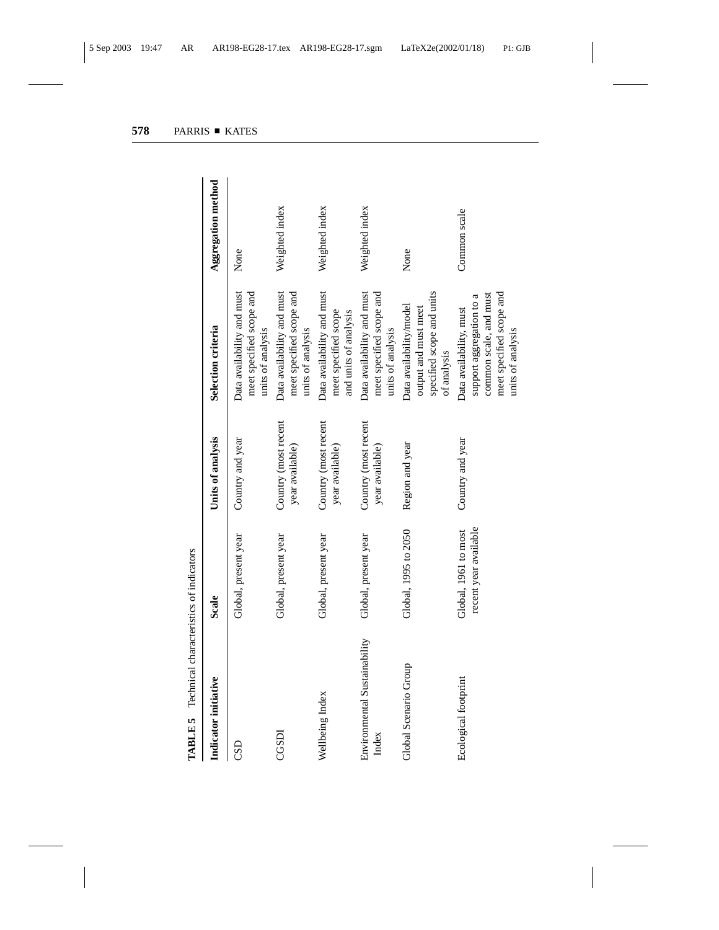| Indicator initiative                  | Scale                                         | Units of analysis                       | Selection criteria                                                                                                             | Aggregation method |
|---------------------------------------|-----------------------------------------------|-----------------------------------------|--------------------------------------------------------------------------------------------------------------------------------|--------------------|
| CSD                                   | Global, present year                          | Country and year                        | Data availability and must<br>meet specified scope and<br>units of analysis                                                    | None               |
| CGSDI                                 | Global, present year                          | Country (most recent<br>year available) | Data availability and must<br>meet specified scope and<br>units of analysis                                                    | Weighted index     |
| Wellbeing Index                       | Global, present year                          | Country (most recent<br>year available) | Data availability and must<br>meet specified scope<br>and units of analysis                                                    | Weighted index     |
| Environmental Sustainability<br>Index | Global, present year                          | Country (most recent<br>year available) | Data availability and must<br>meet specified scope and<br>units of analysis                                                    | Weighted index     |
| Global Scenario Group                 | Global, 1995 to 2050                          | Region and year                         | specified scope and units<br>Data availability/model<br>output and must meet<br>of analysis                                    | None               |
| Ecological footprint                  | recent year available<br>Global, 1961 to most | Country and year                        | meet specified scope and<br>common scale, and must<br>support aggregation to a<br>Data availability, must<br>units of analysis | Common scale       |

**TABLE 5** Technical characteristics of indicators **TABLE 5** Technical characteristics of indicators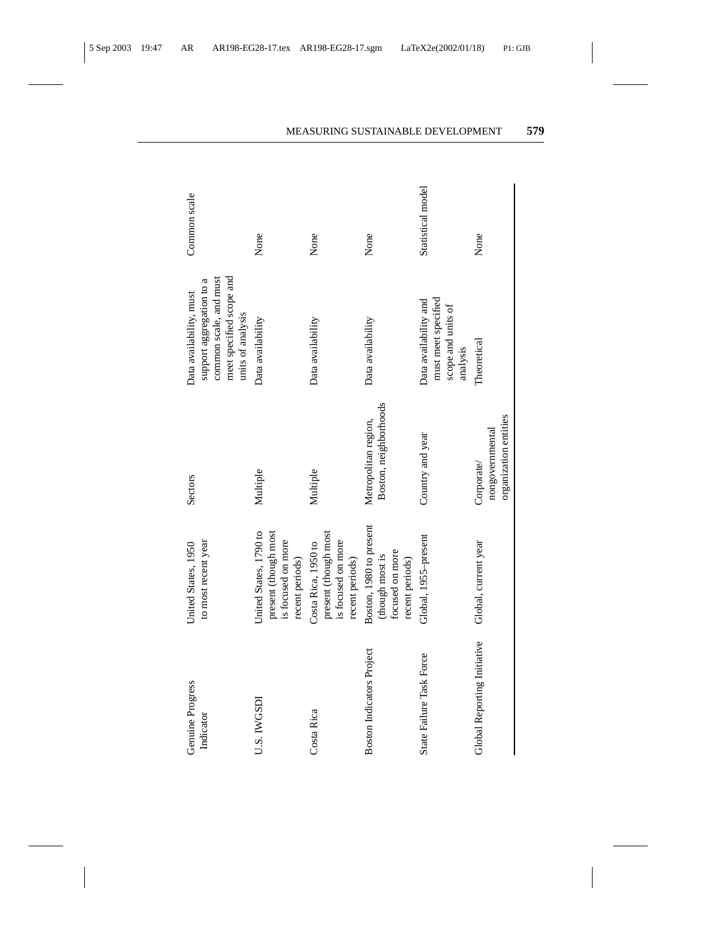| Genuine Progress<br>Indicator    | to most recent year<br>United States, 1950                                              | Sectors                                                | meet specified scope and<br>common scale, and must<br>support aggregation to a<br>Data availability, must<br>units of analysis | Common scale      |
|----------------------------------|-----------------------------------------------------------------------------------------|--------------------------------------------------------|--------------------------------------------------------------------------------------------------------------------------------|-------------------|
| U.S. IWGSDI                      | United States, 1790 to<br>present (though most<br>is focused on more<br>recent periods) | Multiple                                               | Data availability                                                                                                              | None              |
| Costa Rica                       | present (though most<br>is focused on more<br>Costa Rica, 1950 to<br>recent periods)    | Multiple                                               | Data availability                                                                                                              | None              |
| <b>Boston Indicators Project</b> | Boston, 1980 to present<br>focused on more<br>(though most is<br>recent periods)        | Boston, neighborhoods<br>Metropolitan region,          | Data availability                                                                                                              | None              |
| State Failure Task Force         | Global, 1955-present                                                                    | Country and year                                       | must meet specified<br>Data availability and<br>scope and units of<br>analysis                                                 | Statistical model |
| Global Reporting Initiative      | Global, current year                                                                    | organization entities<br>nongovernmental<br>Corporate/ | Theoretical                                                                                                                    | None              |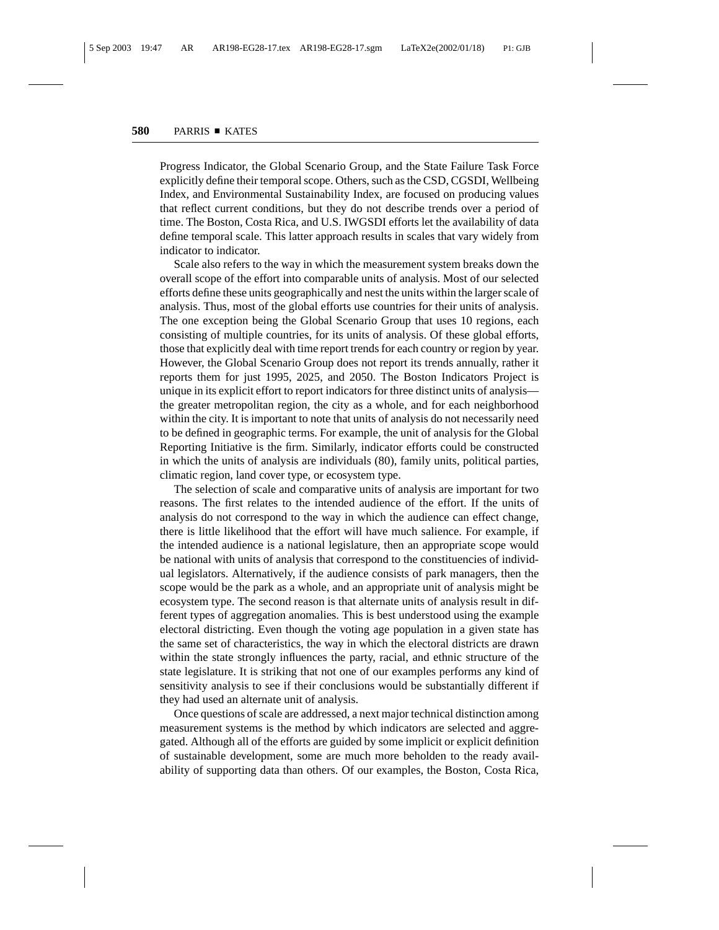Progress Indicator, the Global Scenario Group, and the State Failure Task Force explicitly define their temporal scope. Others, such as the CSD, CGSDI, Wellbeing Index, and Environmental Sustainability Index, are focused on producing values that reflect current conditions, but they do not describe trends over a period of time. The Boston, Costa Rica, and U.S. IWGSDI efforts let the availability of data define temporal scale. This latter approach results in scales that vary widely from indicator to indicator.

Scale also refers to the way in which the measurement system breaks down the overall scope of the effort into comparable units of analysis. Most of our selected efforts define these units geographically and nest the units within the larger scale of analysis. Thus, most of the global efforts use countries for their units of analysis. The one exception being the Global Scenario Group that uses 10 regions, each consisting of multiple countries, for its units of analysis. Of these global efforts, those that explicitly deal with time report trends for each country or region by year. However, the Global Scenario Group does not report its trends annually, rather it reports them for just 1995, 2025, and 2050. The Boston Indicators Project is unique in its explicit effort to report indicators for three distinct units of analysis the greater metropolitan region, the city as a whole, and for each neighborhood within the city. It is important to note that units of analysis do not necessarily need to be defined in geographic terms. For example, the unit of analysis for the Global Reporting Initiative is the firm. Similarly, indicator efforts could be constructed in which the units of analysis are individuals (80), family units, political parties, climatic region, land cover type, or ecosystem type.

The selection of scale and comparative units of analysis are important for two reasons. The first relates to the intended audience of the effort. If the units of analysis do not correspond to the way in which the audience can effect change, there is little likelihood that the effort will have much salience. For example, if the intended audience is a national legislature, then an appropriate scope would be national with units of analysis that correspond to the constituencies of individual legislators. Alternatively, if the audience consists of park managers, then the scope would be the park as a whole, and an appropriate unit of analysis might be ecosystem type. The second reason is that alternate units of analysis result in different types of aggregation anomalies. This is best understood using the example electoral districting. Even though the voting age population in a given state has the same set of characteristics, the way in which the electoral districts are drawn within the state strongly influences the party, racial, and ethnic structure of the state legislature. It is striking that not one of our examples performs any kind of sensitivity analysis to see if their conclusions would be substantially different if they had used an alternate unit of analysis.

Once questions of scale are addressed, a next major technical distinction among measurement systems is the method by which indicators are selected and aggregated. Although all of the efforts are guided by some implicit or explicit definition of sustainable development, some are much more beholden to the ready availability of supporting data than others. Of our examples, the Boston, Costa Rica,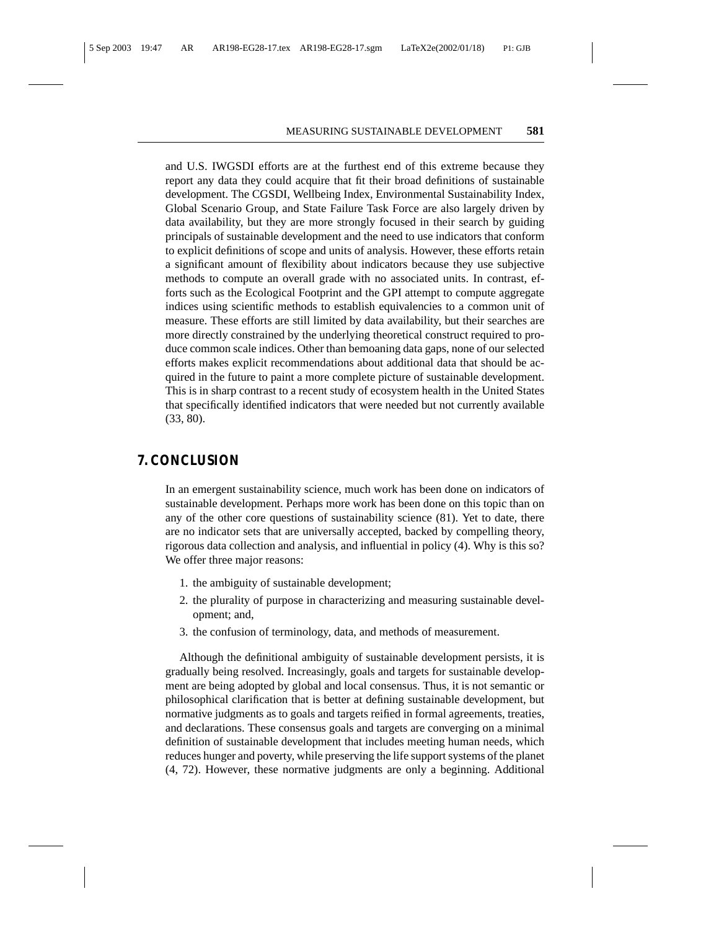and U.S. IWGSDI efforts are at the furthest end of this extreme because they report any data they could acquire that fit their broad definitions of sustainable development. The CGSDI, Wellbeing Index, Environmental Sustainability Index, Global Scenario Group, and State Failure Task Force are also largely driven by data availability, but they are more strongly focused in their search by guiding principals of sustainable development and the need to use indicators that conform to explicit definitions of scope and units of analysis. However, these efforts retain a significant amount of flexibility about indicators because they use subjective methods to compute an overall grade with no associated units. In contrast, efforts such as the Ecological Footprint and the GPI attempt to compute aggregate indices using scientific methods to establish equivalencies to a common unit of measure. These efforts are still limited by data availability, but their searches are more directly constrained by the underlying theoretical construct required to produce common scale indices. Other than bemoaning data gaps, none of our selected efforts makes explicit recommendations about additional data that should be acquired in the future to paint a more complete picture of sustainable development. This is in sharp contrast to a recent study of ecosystem health in the United States that specifically identified indicators that were needed but not currently available (33, 80).

#### **7. CONCLUSION**

In an emergent sustainability science, much work has been done on indicators of sustainable development. Perhaps more work has been done on this topic than on any of the other core questions of sustainability science (81). Yet to date, there are no indicator sets that are universally accepted, backed by compelling theory, rigorous data collection and analysis, and influential in policy (4). Why is this so? We offer three major reasons:

- 1. the ambiguity of sustainable development;
- 2. the plurality of purpose in characterizing and measuring sustainable development; and,
- 3. the confusion of terminology, data, and methods of measurement.

Although the definitional ambiguity of sustainable development persists, it is gradually being resolved. Increasingly, goals and targets for sustainable development are being adopted by global and local consensus. Thus, it is not semantic or philosophical clarification that is better at defining sustainable development, but normative judgments as to goals and targets reified in formal agreements, treaties, and declarations. These consensus goals and targets are converging on a minimal definition of sustainable development that includes meeting human needs, which reduces hunger and poverty, while preserving the life support systems of the planet (4, 72). However, these normative judgments are only a beginning. Additional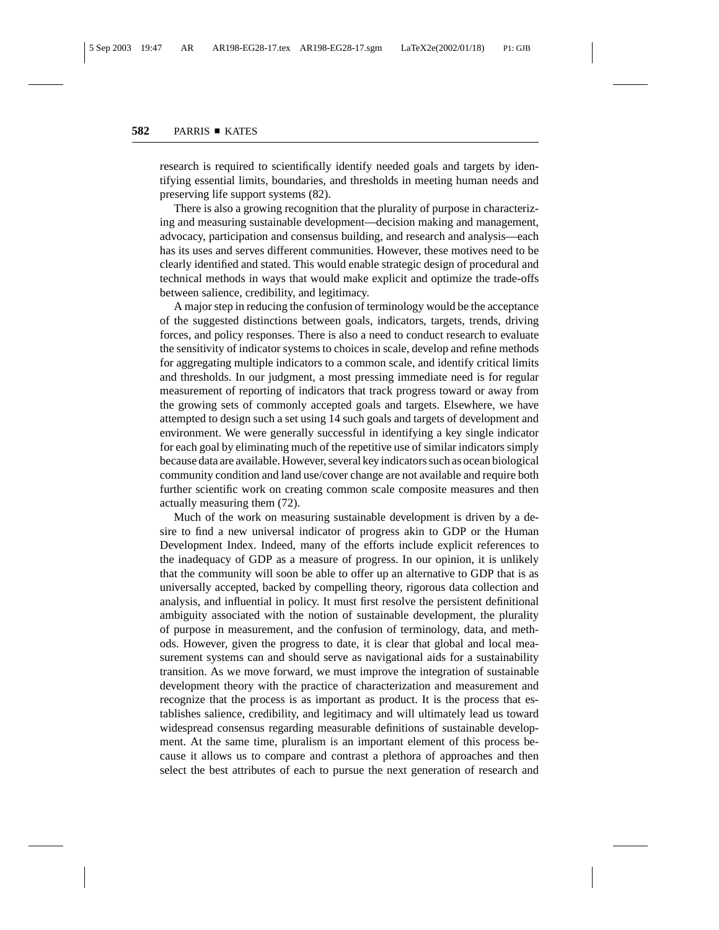research is required to scientifically identify needed goals and targets by identifying essential limits, boundaries, and thresholds in meeting human needs and preserving life support systems (82).

There is also a growing recognition that the plurality of purpose in characterizing and measuring sustainable development—decision making and management, advocacy, participation and consensus building, and research and analysis—each has its uses and serves different communities. However, these motives need to be clearly identified and stated. This would enable strategic design of procedural and technical methods in ways that would make explicit and optimize the trade-offs between salience, credibility, and legitimacy.

A major step in reducing the confusion of terminology would be the acceptance of the suggested distinctions between goals, indicators, targets, trends, driving forces, and policy responses. There is also a need to conduct research to evaluate the sensitivity of indicator systems to choices in scale, develop and refine methods for aggregating multiple indicators to a common scale, and identify critical limits and thresholds. In our judgment, a most pressing immediate need is for regular measurement of reporting of indicators that track progress toward or away from the growing sets of commonly accepted goals and targets. Elsewhere, we have attempted to design such a set using 14 such goals and targets of development and environment. We were generally successful in identifying a key single indicator for each goal by eliminating much of the repetitive use of similar indicators simply because data are available. However, several key indicators such as ocean biological community condition and land use/cover change are not available and require both further scientific work on creating common scale composite measures and then actually measuring them (72).

Much of the work on measuring sustainable development is driven by a desire to find a new universal indicator of progress akin to GDP or the Human Development Index. Indeed, many of the efforts include explicit references to the inadequacy of GDP as a measure of progress. In our opinion, it is unlikely that the community will soon be able to offer up an alternative to GDP that is as universally accepted, backed by compelling theory, rigorous data collection and analysis, and influential in policy. It must first resolve the persistent definitional ambiguity associated with the notion of sustainable development, the plurality of purpose in measurement, and the confusion of terminology, data, and methods. However, given the progress to date, it is clear that global and local measurement systems can and should serve as navigational aids for a sustainability transition. As we move forward, we must improve the integration of sustainable development theory with the practice of characterization and measurement and recognize that the process is as important as product. It is the process that establishes salience, credibility, and legitimacy and will ultimately lead us toward widespread consensus regarding measurable definitions of sustainable development. At the same time, pluralism is an important element of this process because it allows us to compare and contrast a plethora of approaches and then select the best attributes of each to pursue the next generation of research and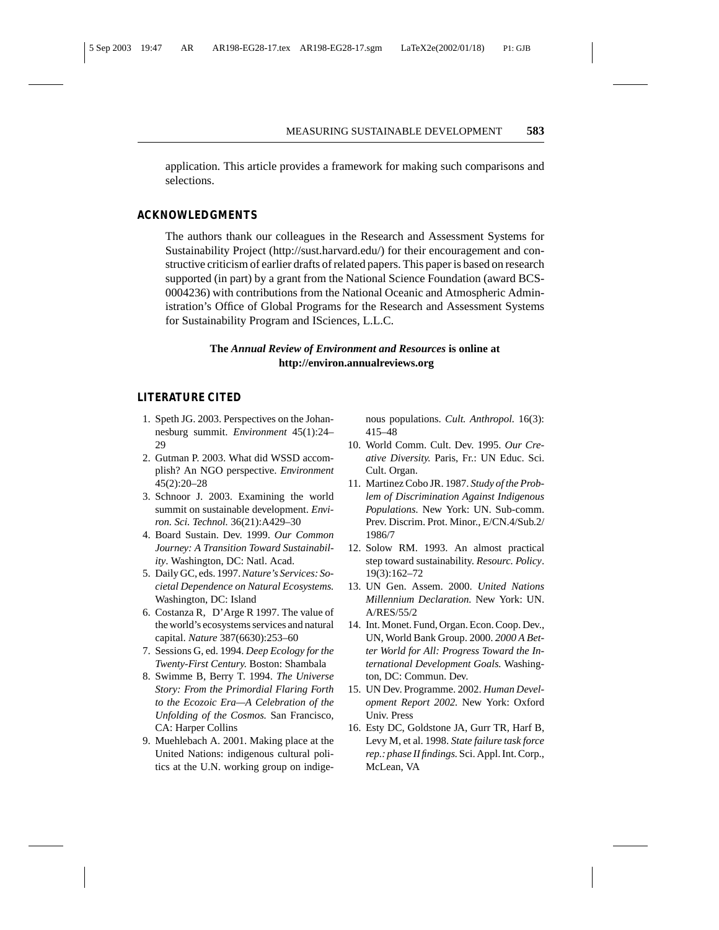application. This article provides a framework for making such comparisons and selections.

#### **ACKNOWLEDGMENTS**

The authors thank our colleagues in the Research and Assessment Systems for Sustainability Project (http://sust.harvard.edu/) for their encouragement and constructive criticism of earlier drafts of related papers. This paper is based on research supported (in part) by a grant from the National Science Foundation (award BCS-0004236) with contributions from the National Oceanic and Atmospheric Administration's Office of Global Programs for the Research and Assessment Systems for Sustainability Program and ISciences, L.L.C.

#### **The** *Annual Review of Environment and Resources* **is online at http://environ.annualreviews.org**

#### **LITERATURE CITED**

- 1. Speth JG. 2003. Perspectives on the Johannesburg summit. *Environment* 45(1):24–  $29$
- 2. Gutman P. 2003. What did WSSD accomplish? An NGO perspective. *Environment* 45(2):20–28
- 3. Schnoor J. 2003. Examining the world summit on sustainable development. *Environ. Sci. Technol.* 36(21):A429–30
- 4. Board Sustain. Dev. 1999. *Our Common Journey: A Transition Toward Sustainability*. Washington, DC: Natl. Acad.
- 5. Daily GC, eds. 1997.*Nature's Services: Societal Dependence on Natural Ecosystems.* Washington, DC: Island
- 6. Costanza R, D'Arge R 1997. The value of the world's ecosystems services and natural capital. *Nature* 387(6630):253–60
- 7. Sessions G, ed. 1994. *Deep Ecology for the Twenty-First Century.* Boston: Shambala
- 8. Swimme B, Berry T. 1994. *The Universe Story: From the Primordial Flaring Forth to the Ecozoic Era—A Celebration of the Unfolding of the Cosmos.* San Francisco, CA: Harper Collins
- 9. Muehlebach A. 2001. Making place at the United Nations: indigenous cultural politics at the U.N. working group on indige-

nous populations. *Cult. Anthropol.* 16(3): 415–48

- 10. World Comm. Cult. Dev. 1995. *Our Creative Diversity.* Paris, Fr.: UN Educ. Sci. Cult. Organ.
- 11. Martinez Cobo JR. 1987. *Study of the Problem of Discrimination Against Indigenous Populations.* New York: UN. Sub-comm. Prev. Discrim. Prot. Minor., E/CN.4/Sub.2/ 1986/7
- 12. Solow RM. 1993. An almost practical step toward sustainability. *Resourc. Policy*. 19(3):162–72
- 13. UN Gen. Assem. 2000. *United Nations Millennium Declaration.* New York: UN. A/RES/55/2
- 14. Int. Monet. Fund, Organ. Econ. Coop. Dev., UN, World Bank Group. 2000. *2000 A Better World for All: Progress Toward the International Development Goals.* Washington, DC: Commun. Dev.
- 15. UN Dev. Programme. 2002. *Human Development Report 2002.* New York: Oxford Univ. Press
- 16. Esty DC, Goldstone JA, Gurr TR, Harf B, Levy M, et al. 1998. *State failure task force rep.: phase II findings.* Sci. Appl. Int. Corp., McLean, VA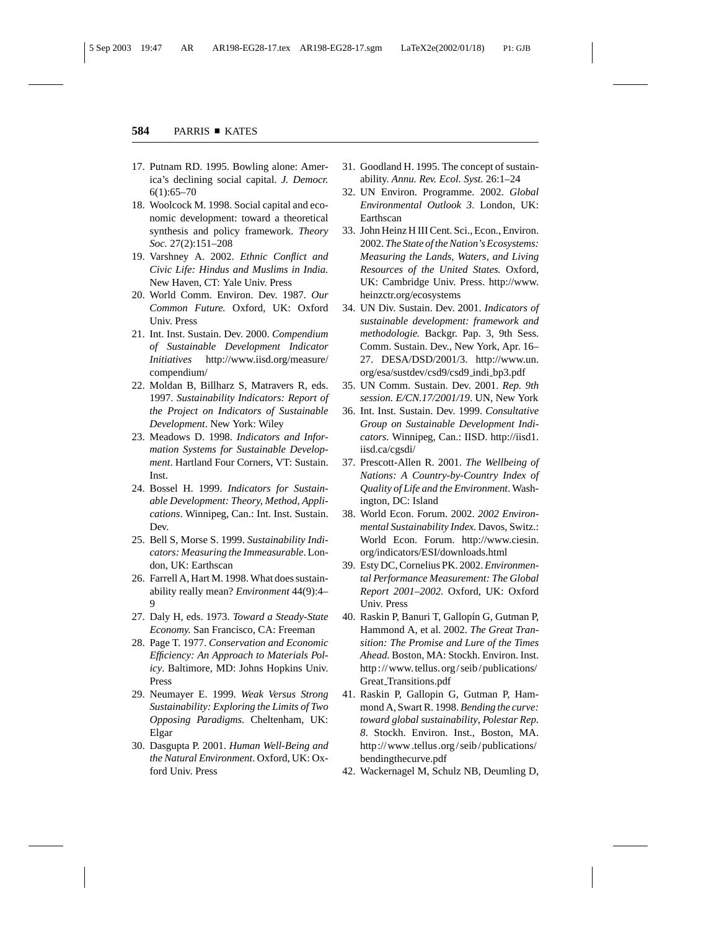- 17. Putnam RD. 1995. Bowling alone: America's declining social capital. *J. Democr.* 6(1):65–70
- 18. Woolcock M. 1998. Social capital and economic development: toward a theoretical synthesis and policy framework. *Theory Soc.* 27(2):151–208
- 19. Varshney A. 2002. *Ethnic Conflict and Civic Life: Hindus and Muslims in India.* New Haven, CT: Yale Univ. Press
- 20. World Comm. Environ. Dev. 1987. *Our Common Future.* Oxford, UK: Oxford Univ. Press
- 21. Int. Inst. Sustain. Dev. 2000. *Compendium of Sustainable Development Indicator Initiatives* http://www.iisd.org/measure/ compendium/
- 22. Moldan B, Billharz S, Matravers R, eds. 1997. *Sustainability Indicators: Report of the Project on Indicators of Sustainable Development*. New York: Wiley
- 23. Meadows D. 1998. *Indicators and Information Systems for Sustainable Development*. Hartland Four Corners, VT: Sustain. Inst.
- 24. Bossel H. 1999. *Indicators for Sustainable Development: Theory, Method, Applications*. Winnipeg, Can.: Int. Inst. Sustain. Dev.
- 25. Bell S, Morse S. 1999. *Sustainability Indicators: Measuring the Immeasurable*. London, UK: Earthscan
- 26. Farrell A, Hart M. 1998. What does sustainability really mean? *Environment* 44(9):4– 9
- 27. Daly H, eds. 1973. *Toward a Steady-State Economy.* San Francisco, CA: Freeman
- 28. Page T. 1977. *Conservation and Economic Efficiency: An Approach to Materials Policy*. Baltimore, MD: Johns Hopkins Univ. Press
- 29. Neumayer E. 1999. *Weak Versus Strong Sustainability: Exploring the Limits of Two Opposing Paradigms.* Cheltenham, UK: Elgar
- 30. Dasgupta P. 2001. *Human Well-Being and the Natural Environment*. Oxford, UK: Oxford Univ. Press
- 31. Goodland H. 1995. The concept of sustainability. *Annu. Rev. Ecol. Syst.* 26:1–24
- 32. UN Environ. Programme. 2002. *Global Environmental Outlook 3*. London, UK: Earthscan
- 33. John Heinz H III Cent. Sci., Econ., Environ. 2002. *The State of the Nation's Ecosystems: Measuring the Lands, Waters, and Living Resources of the United States.* Oxford, UK: Cambridge Univ. Press. http://www. heinzctr.org/ecosystems
- 34. UN Div. Sustain. Dev. 2001. *Indicators of sustainable development: framework and methodologie.* Backgr. Pap. 3, 9th Sess. Comm. Sustain. Dev., New York, Apr. 16– 27. DESA/DSD/2001/3. http://www.un. org/esa/sustdev/csd9/csd9 indi bp3.pdf
- 35. UN Comm. Sustain. Dev. 2001. *Rep. 9th session. E/CN.17/2001/19*. UN, New York
- 36. Int. Inst. Sustain. Dev. 1999. *Consultative Group on Sustainable Development Indicators*. Winnipeg, Can.: IISD. http://iisd1. iisd.ca/cgsdi/
- 37. Prescott-Allen R. 2001. *The Wellbeing of Nations: A Country-by-Country Index of Quality of Life and the Environment*. Washington, DC: Island
- 38. World Econ. Forum. 2002. *2002 Environmental Sustainability Index.* Davos, Switz.: World Econ. Forum. http://www.ciesin. org/indicators/ESI/downloads.html
- 39. Esty DC, Cornelius PK. 2002. *Environmental Performance Measurement: The Global Report 2001–2002.* Oxford, UK: Oxford Univ. Press
- 40. Raskin P, Banuri T, Gallopín G, Gutman P, Hammond A, et al. 2002. *The Great Transition: The Promise and Lure of the Times Ahead.* Boston, MA: Stockh. Environ. Inst. http://www.tellus.org/seib/publications/ Great Transitions.pdf
- 41. Raskin P, Gallopin G, Gutman P, Hammond A, Swart R. 1998. *Bending the curve: toward global sustainability*, *Polestar Rep. 8*. Stockh. Environ. Inst., Boston, MA. http://www.tellus.org/seib/publications/ bendingthecurve.pdf
- 42. Wackernagel M, Schulz NB, Deumling D,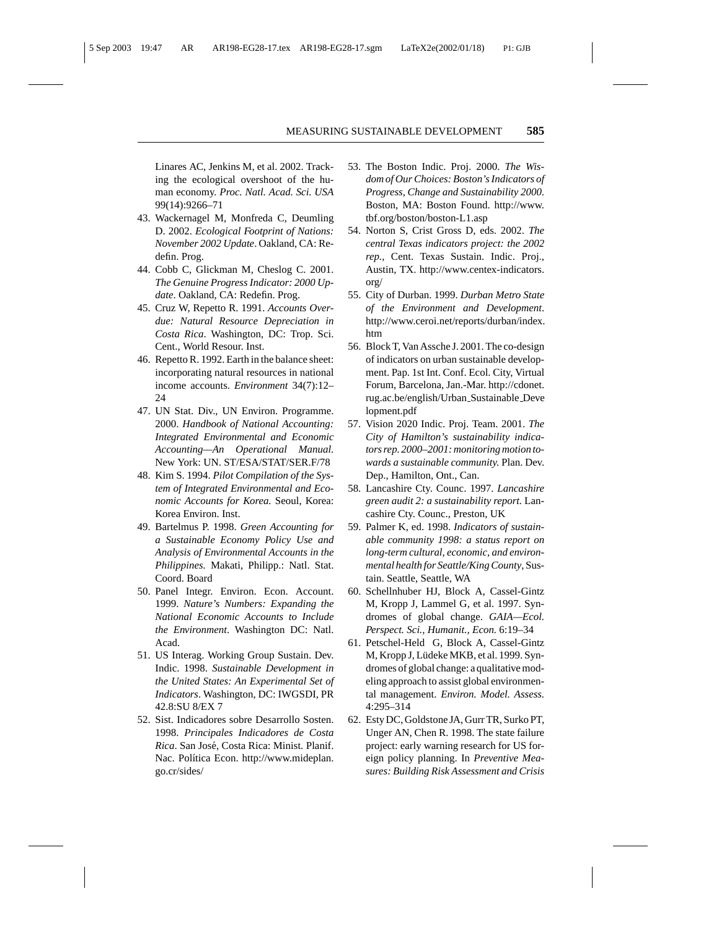Linares AC, Jenkins M, et al. 2002. Tracking the ecological overshoot of the human economy. *Proc. Natl. Acad. Sci. USA* 99(14):9266–71

- 43. Wackernagel M, Monfreda C, Deumling D. 2002. *Ecological Footprint of Nations: November 2002 Update*. Oakland, CA: Redefin. Prog.
- 44. Cobb C, Glickman M, Cheslog C. 2001. *The Genuine Progress Indicator: 2000 Update*. Oakland, CA: Redefin. Prog.
- 45. Cruz W, Repetto R. 1991. *Accounts Overdue: Natural Resource Depreciation in Costa Rica*. Washington, DC: Trop. Sci. Cent., World Resour. Inst.
- 46. Repetto R. 1992. Earth in the balance sheet: incorporating natural resources in national income accounts. *Environment* 34(7):12– 24
- 47. UN Stat. Div., UN Environ. Programme. 2000. *Handbook of National Accounting: Integrated Environmental and Economic Accounting—An Operational Manual.* New York: UN. ST/ESA/STAT/SER.F/78
- 48. Kim S. 1994. *Pilot Compilation of the System of Integrated Environmental and Economic Accounts for Korea.* Seoul, Korea: Korea Environ. Inst.
- 49. Bartelmus P. 1998. *Green Accounting for a Sustainable Economy Policy Use and Analysis of Environmental Accounts in the Philippines.* Makati, Philipp.: Natl. Stat. Coord. Board
- 50. Panel Integr. Environ. Econ. Account. 1999. *Nature's Numbers: Expanding the National Economic Accounts to Include the Environment*. Washington DC: Natl. Acad.
- 51. US Interag. Working Group Sustain. Dev. Indic. 1998. *Sustainable Development in the United States: An Experimental Set of Indicators*. Washington, DC: IWGSDI, PR 42.8:SU 8/EX 7
- 52. Sist. Indicadores sobre Desarrollo Sosten. 1998. *Principales Indicadores de Costa Rica*. San José, Costa Rica: Minist. Planif. Nac. Política Econ. http://www.mideplan. go.cr/sides/
- 53. The Boston Indic. Proj. 2000. *The Wisdom of Our Choices: Boston's Indicators of Progress, Change and Sustainability 2000*. Boston, MA: Boston Found. http://www. tbf.org/boston/boston-L1.asp
- 54. Norton S, Crist Gross D, eds. 2002. *The central Texas indicators project: the 2002 rep.*, Cent. Texas Sustain. Indic. Proj., Austin, TX. http://www.centex-indicators. org/
- 55. City of Durban. 1999. *Durban Metro State of the Environment and Development*. http://www.ceroi.net/reports/durban/index. htm
- 56. Block T, Van Assche J. 2001. The co-design of indicators on urban sustainable development. Pap. 1st Int. Conf. Ecol. City, Virtual Forum, Barcelona, Jan.-Mar. http://cdonet. rug.ac.be/english/Urban Sustainable Deve lopment.pdf
- 57. Vision 2020 Indic. Proj. Team. 2001. *The City of Hamilton's sustainability indicators rep. 2000–2001: monitoring motion towards a sustainable community.* Plan. Dev. Dep., Hamilton, Ont., Can.
- 58. Lancashire Cty. Counc. 1997. *Lancashire green audit 2: a sustainability report.* Lancashire Cty. Counc., Preston, UK
- 59. Palmer K, ed. 1998. *Indicators of sustainable community 1998: a status report on long-term cultural, economic, and environmental health for Seattle/King County*, Sustain. Seattle, Seattle, WA
- 60. Schellnhuber HJ, Block A, Cassel-Gintz M, Kropp J, Lammel G, et al. 1997. Syndromes of global change. *GAIA—Ecol. Perspect. Sci., Humanit., Econ.* 6:19–34
- 61. Petschel-Held G, Block A, Cassel-Gintz M, Kropp J, Lüdeke MKB, et al. 1999. Syndromes of global change: a qualitative modeling approach to assist global environmental management. *Environ. Model. Assess.* 4:295–314
- 62. Esty DC, Goldstone JA, Gurr TR, Surko PT, Unger AN, Chen R. 1998. The state failure project: early warning research for US foreign policy planning. In *Preventive Measures: Building Risk Assessment and Crisis*